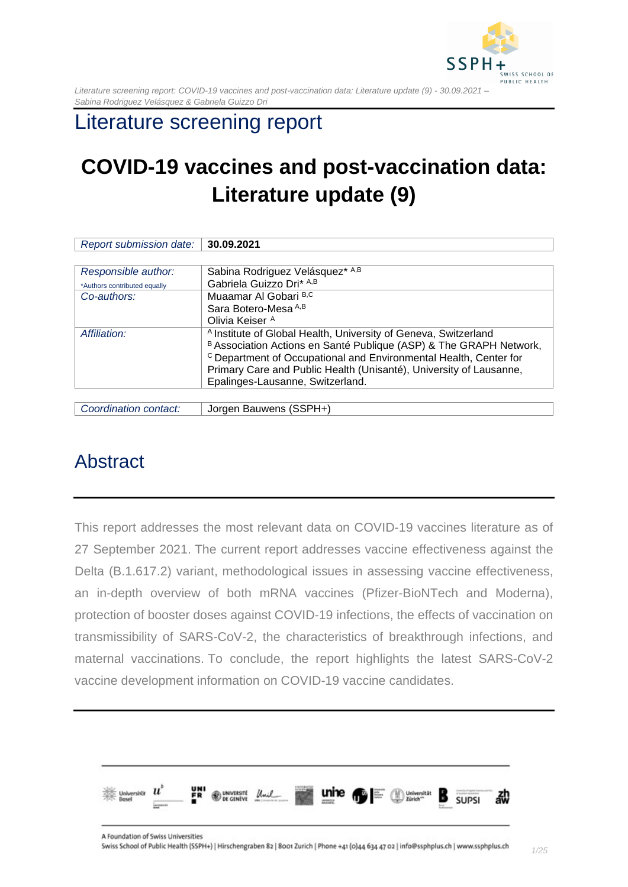

# Literature screening report

# **COVID-19 vaccines and post-vaccination data: Literature update (9)**

| Report submission date:      | 30.09.2021                                                                   |
|------------------------------|------------------------------------------------------------------------------|
|                              |                                                                              |
| Responsible author:          | Sabina Rodriguez Velásquez* A,B                                              |
| *Authors contributed equally | Gabriela Guizzo Dri* A,B                                                     |
| Co-authors:                  | Muaamar Al Gobari B,C                                                        |
|                              | Sara Botero-Mesa A,B                                                         |
|                              | Olivia Keiser <sup>A</sup>                                                   |
| Affiliation:                 | <sup>A</sup> Institute of Global Health, University of Geneva, Switzerland   |
|                              | B Association Actions en Santé Publique (ASP) & The GRAPH Network,           |
|                              | <sup>c</sup> Department of Occupational and Environmental Health, Center for |
|                              | Primary Care and Public Health (Unisanté), University of Lausanne,           |
|                              | Epalinges-Lausanne, Switzerland.                                             |
|                              |                                                                              |

*Coordination contact:* Jorgen Bauwens (SSPH+)

# <span id="page-0-0"></span>Abstract

This report addresses the most relevant data on COVID-19 vaccines literature as of 27 September 2021. The current report addresses vaccine effectiveness against the Delta (B.1.617.2) variant, methodological issues in assessing vaccine effectiveness, an in-depth overview of both mRNA vaccines (Pfizer-BioNTech and Moderna), protection of booster doses against COVID-19 infections, the effects of vaccination on transmissibility of SARS-CoV-2, the characteristics of breakthrough infections, and maternal vaccinations. To conclude, the report highlights the latest SARS-CoV-2 vaccine development information on COVID-19 vaccine candidates.

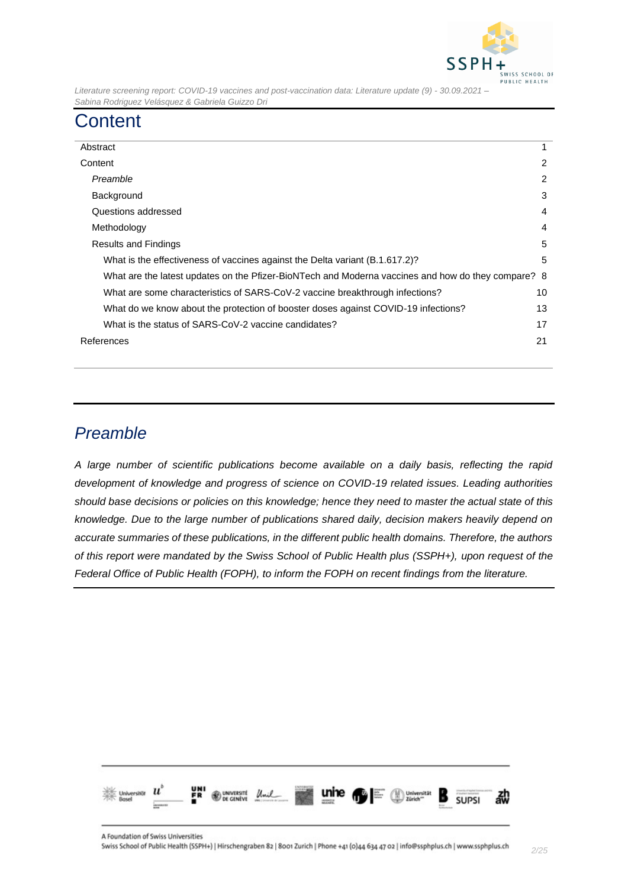

# <span id="page-1-0"></span>**Content**

| Abstract                                                                                           |    |
|----------------------------------------------------------------------------------------------------|----|
| Content                                                                                            | 2  |
| Preamble                                                                                           | 2  |
| Background                                                                                         | 3  |
| Questions addressed                                                                                | 4  |
| Methodology                                                                                        | 4  |
| <b>Results and Findings</b>                                                                        |    |
| What is the effectiveness of vaccines against the Delta variant (B.1.617.2)?                       | 5  |
| What are the latest updates on the Pfizer-BioNTech and Moderna vaccines and how do they compare? 8 |    |
| What are some characteristics of SARS-CoV-2 vaccine breakthrough infections?                       | 10 |
| What do we know about the protection of booster doses against COVID-19 infections?                 |    |
| What is the status of SARS-CoV-2 vaccine candidates?                                               |    |
| References                                                                                         | 21 |
|                                                                                                    |    |

## <span id="page-1-1"></span>*Preamble*

*A large number of scientific publications become available on a daily basis, reflecting the rapid development of knowledge and progress of science on COVID-19 related issues. Leading authorities should base decisions or policies on this knowledge; hence they need to master the actual state of this knowledge. Due to the large number of publications shared daily, decision makers heavily depend on accurate summaries of these publications, in the different public health domains. Therefore, the authors of this report were mandated by the Swiss School of Public Health plus (SSPH+), upon request of the Federal Office of Public Health (FOPH), to inform the FOPH on recent findings from the literature.*

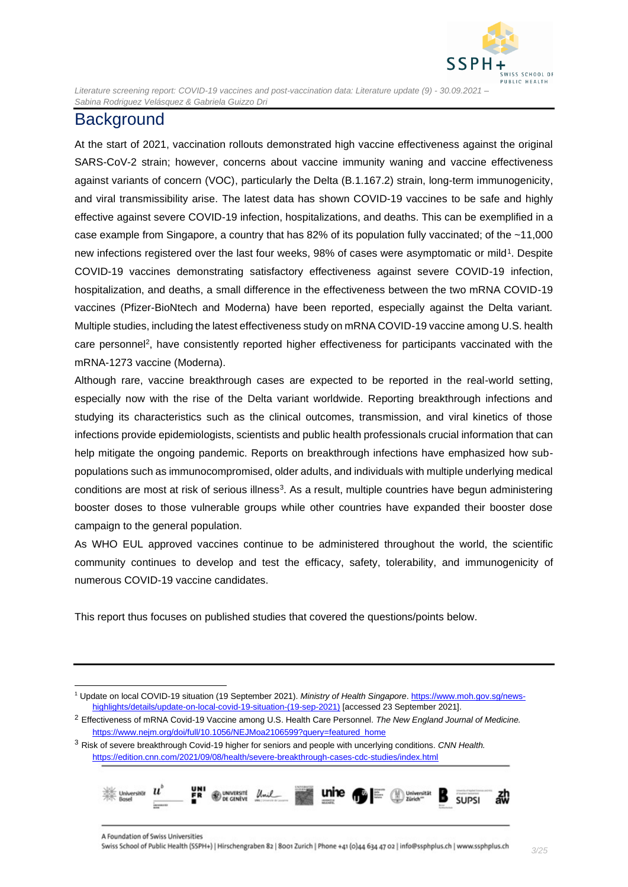

## <span id="page-2-0"></span>**Background**

At the start of 2021, vaccination rollouts demonstrated high vaccine effectiveness against the original SARS-CoV-2 strain; however, concerns about vaccine immunity waning and vaccine effectiveness against variants of concern (VOC), particularly the Delta (B.1.167.2) strain, long-term immunogenicity, and viral transmissibility arise. The latest data has shown COVID-19 vaccines to be safe and highly effective against severe COVID-19 infection, hospitalizations, and deaths. This can be exemplified in a case example from Singapore, a country that has 82% of its population fully vaccinated; of the ~11,000 new infections registered over the last four weeks, 98% of cases were asymptomatic or mild<sup>1</sup>. Despite COVID-19 vaccines demonstrating satisfactory effectiveness against severe COVID-19 infection, hospitalization, and deaths, a small difference in the effectiveness between the two mRNA COVID-19 vaccines (Pfizer-BioNtech and Moderna) have been reported, especially against the Delta variant. Multiple studies, including the latest effectiveness study on mRNA COVID-19 vaccine among U.S. health care personnel<sup>2</sup>, have consistently reported higher effectiveness for participants vaccinated with the mRNA-1273 vaccine (Moderna).

Although rare, vaccine breakthrough cases are expected to be reported in the real-world setting, especially now with the rise of the Delta variant worldwide. Reporting breakthrough infections and studying its characteristics such as the clinical outcomes, transmission, and viral kinetics of those infections provide epidemiologists, scientists and public health professionals crucial information that can help mitigate the ongoing pandemic. Reports on breakthrough infections have emphasized how subpopulations such as immunocompromised, older adults, and individuals with multiple underlying medical conditions are most at risk of serious illness<sup>3</sup>. As a result, multiple countries have begun administering booster doses to those vulnerable groups while other countries have expanded their booster dose campaign to the general population.

As WHO EUL approved vaccines continue to be administered throughout the world, the scientific community continues to develop and test the efficacy, safety, tolerability, and immunogenicity of numerous COVID-19 vaccine candidates.

This report thus focuses on published studies that covered the questions/points below.

<sup>3</sup> Risk of severe breakthrough Covid-19 higher for seniors and people with uncerlying conditions. *CNN Health.*  <https://edition.cnn.com/2021/09/08/health/severe-breakthrough-cases-cdc-studies/index.html>



<sup>1</sup> Update on local COVID-19 situation (19 September 2021). *Ministry of Health Singapore*. [https://www.moh.gov.sg/news](https://www.moh.gov.sg/news-highlights/details/update-on-local-covid-19-situation-(19-sep-2021))[highlights/details/update-on-local-covid-19-situation-\(19-sep-2021\)](https://www.moh.gov.sg/news-highlights/details/update-on-local-covid-19-situation-(19-sep-2021)) [accessed 23 September 2021].

<sup>2</sup> Effectiveness of mRNA Covid-19 Vaccine among U.S. Health Care Personnel. *The New England Journal of Medicine.*  [https://www.nejm.org/doi/full/10.1056/NEJMoa2106599?query=featured\\_home](https://www.nejm.org/doi/full/10.1056/NEJMoa2106599?query=featured_home)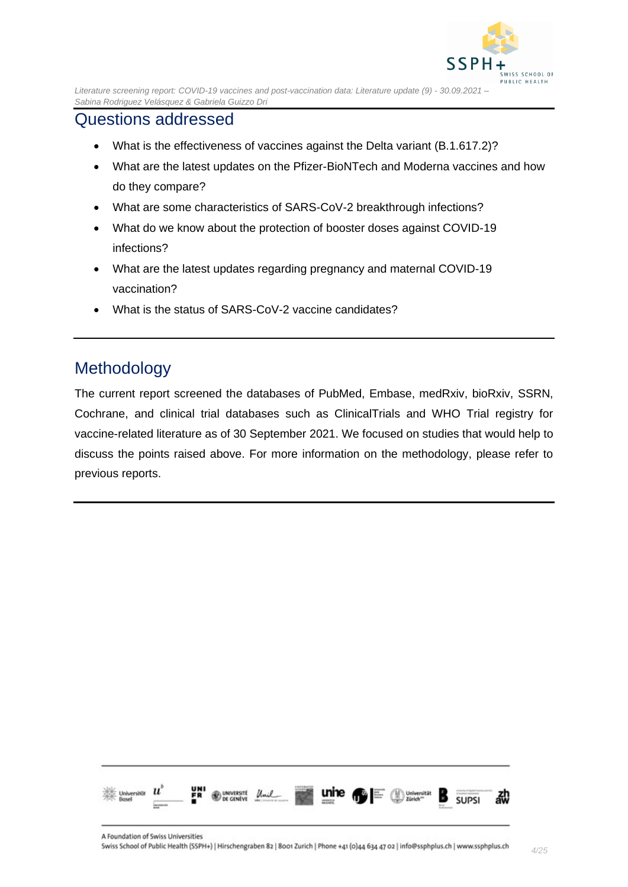

## <span id="page-3-0"></span>Questions addressed

- What is the effectiveness of vaccines against the Delta variant (B.1.617.2)?
- What are the latest updates on the Pfizer-BioNTech and Moderna vaccines and how do they compare?
- What are some characteristics of SARS-CoV-2 breakthrough infections?
- What do we know about the protection of booster doses against COVID-19 infections?
- What are the latest updates regarding pregnancy and maternal COVID-19 vaccination?
- What is the status of SARS-CoV-2 vaccine candidates?

## <span id="page-3-1"></span>Methodology

The current report screened the databases of PubMed, Embase, medRxiv, bioRxiv, SSRN, Cochrane, and clinical trial databases such as ClinicalTrials and WHO Trial registry for vaccine-related literature as of 30 September 2021. We focused on studies that would help to discuss the points raised above. For more information on the methodology, please refer to previous reports.

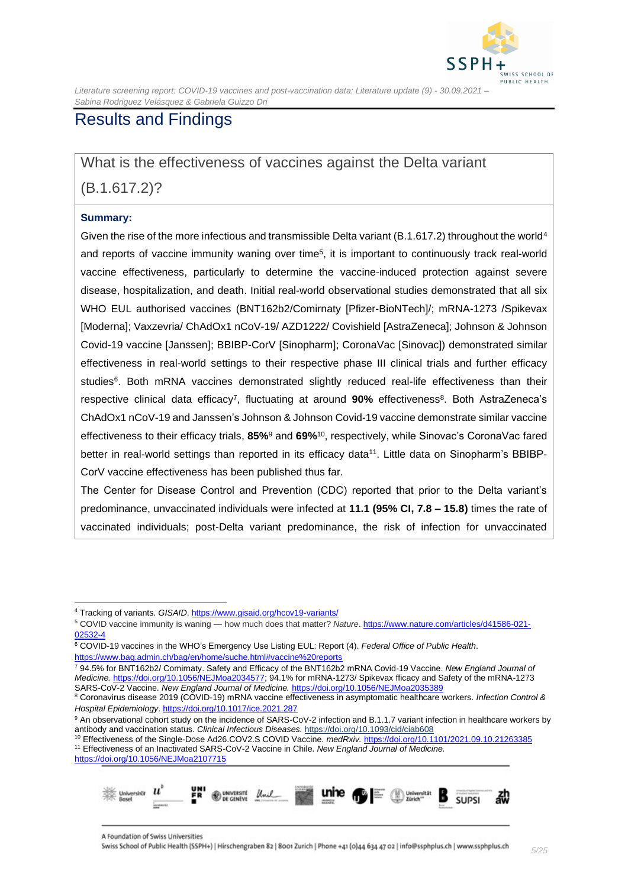

## <span id="page-4-0"></span>Results and Findings

<span id="page-4-1"></span>What is the effectiveness of vaccines against the Delta variant

(B.1.617.2)?

#### **Summary:**

Given the rise of the more infectious and transmissible Delta variant (B.1.617.2) throughout the world<sup>4</sup> and reports of vaccine immunity waning over time<sup>5</sup>, it is important to continuously track real-world vaccine effectiveness, particularly to determine the vaccine-induced protection against severe disease, hospitalization, and death. Initial real-world observational studies demonstrated that all six WHO EUL authorised vaccines (BNT162b2/Comirnaty [Pfizer-BioNTech]/; mRNA-1273 /Spikevax [Moderna]; Vaxzevria/ ChAdOx1 nCoV-19/ AZD1222/ Covishield [AstraZeneca]; Johnson & Johnson Covid-19 vaccine [Janssen]; BBIBP-CorV [Sinopharm]; CoronaVac [Sinovac]) demonstrated similar effectiveness in real-world settings to their respective phase III clinical trials and further efficacy studies<sup>6</sup>. Both mRNA vaccines demonstrated slightly reduced real-life effectiveness than their respective clinical data efficacy<sup>7</sup>, fluctuating at around 90% effectiveness<sup>8</sup>. Both AstraZeneca's ChAdOx1 nCoV-19 and Janssen's Johnson & Johnson Covid-19 vaccine demonstrate similar vaccine effectiveness to their efficacy trials, **85%**<sup>9</sup> and **69%**<sup>10</sup> , respectively, while Sinovac's CoronaVac fared better in real-world settings than reported in its efficacy data<sup>11</sup>. Little data on Sinopharm's BBIBP-CorV vaccine effectiveness has been published thus far.

The Center for Disease Control and Prevention (CDC) reported that prior to the Delta variant's predominance, unvaccinated individuals were infected at **11.1 (95% CI, 7.8 – 15.8)** times the rate of vaccinated individuals; post-Delta variant predominance, the risk of infection for unvaccinated

<sup>7</sup> 94.5% for BNT162b2/ Comirnaty. Safety and Efficacy of the BNT162b2 mRNA Covid-19 Vaccine. *New England Journal of Medicine.* [https://doi.org/10.1056/NEJMoa2034577;](https://doi.org/10.1056/NEJMoa2034577) 94.1% for mRNA-1273/ Spikevax fficacy and Safety of the mRNA-1273 SARS-CoV-2 Vaccine. *New England Journal of Medicine.* <https://doi.org/10.1056/NEJMoa2035389>

<https://doi.org/10.1056/NEJMoa2107715>



<sup>4</sup> Tracking of variants. *GISAID*[. https://www.gisaid.org/hcov19-variants/](https://www.gisaid.org/hcov19-variants/)

<sup>5</sup> COVID vaccine immunity is waning — how much does that matter? *Nature*[. https://www.nature.com/articles/d41586-021-](https://www.nature.com/articles/d41586-021-02532-4) [02532-4](https://www.nature.com/articles/d41586-021-02532-4)

<sup>6</sup> COVID-19 vaccines in the WHO's Emergency Use Listing EUL: Report (4). *Federal Office of Public Health*. <https://www.bag.admin.ch/bag/en/home/suche.html#vaccine%20reports>

<sup>8</sup> Coronavirus disease 2019 (COVID-19) mRNA vaccine effectiveness in asymptomatic healthcare workers. *Infection Control & Hospital Epidemiology*. <https://doi.org/10.1017/ice.2021.287>

<sup>9</sup> An observational cohort study on the incidence of SARS-CoV-2 infection and B.1.1.7 variant infection in healthcare workers by antibody and vaccination status. *Clinical Infectious Diseases.* <https://doi.org/10.1093/cid/ciab608>

<sup>10</sup> Effectiveness of the Single-Dose Ad26.COV2.S COVID Vaccine. *medRxiv.* <https://doi.org/10.1101/2021.09.10.21263385> <sup>11</sup> Effectiveness of an Inactivated SARS-CoV-2 Vaccine in Chile. *New England Journal of Medicine.*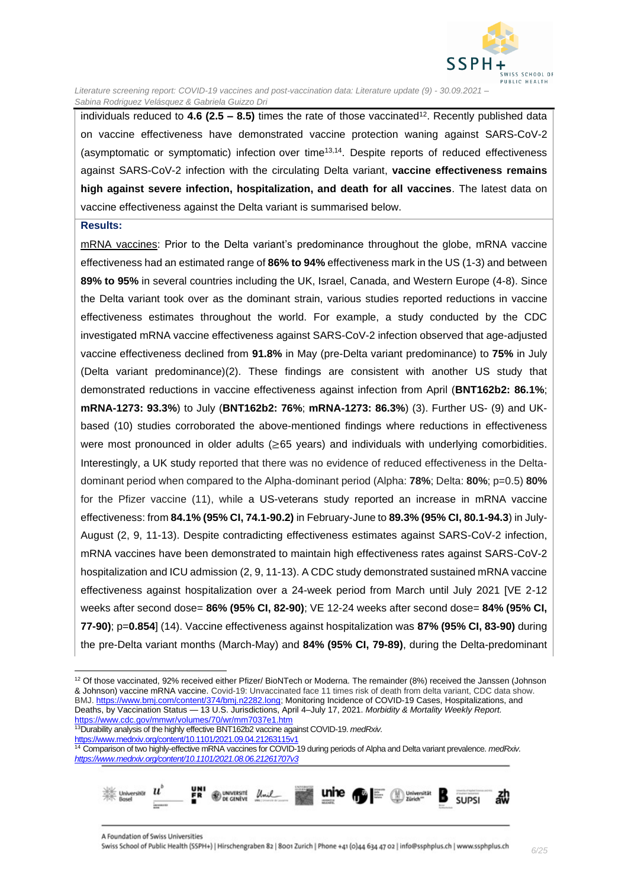

individuals reduced to **4.6 (2.5 – 8.5)** times the rate of those vaccinated<sup>12</sup> . Recently published data on vaccine effectiveness have demonstrated vaccine protection waning against SARS-CoV-2 (asymptomatic or symptomatic) infection over time<sup>13,14</sup>. Despite reports of reduced effectiveness against SARS-CoV-2 infection with the circulating Delta variant, **vaccine effectiveness remains high against severe infection, hospitalization, and death for all vaccines**. The latest data on vaccine effectiveness against the Delta variant is summarised below.

#### **Results:**

mRNA vaccines: Prior to the Delta variant's predominance throughout the globe, mRNA vaccine effectiveness had an estimated range of **86% to 94%** effectiveness mark in the US (1-3) and between **89% to 95%** in several countries including the UK, Israel, Canada, and Western Europe (4-8). Since the Delta variant took over as the dominant strain, various studies reported reductions in vaccine effectiveness estimates throughout the world. For example, a study conducted by the CDC investigated mRNA vaccine effectiveness against SARS-CoV-2 infection observed that age-adjusted vaccine effectiveness declined from **91.8%** in May (pre-Delta variant predominance) to **75%** in July (Delta variant predominance)(2). These findings are consistent with another US study that demonstrated reductions in vaccine effectiveness against infection from April (**BNT162b2: 86.1%**; **mRNA-1273: 93.3%**) to July (**BNT162b2: 76%**; **mRNA-1273: 86.3%**) (3). Further US- (9) and UKbased (10) studies corroborated the above-mentioned findings where reductions in effectiveness were most pronounced in older adults (≥65 years) and individuals with underlying comorbidities. Interestingly, a UK study reported that there was no evidence of reduced effectiveness in the Deltadominant period when compared to the Alpha-dominant period (Alpha: **78%**; Delta: **80%**; p=0.5) **80%** for the Pfizer vaccine (11), while a US-veterans study reported an increase in mRNA vaccine effectiveness: from **84.1% (95% CI, 74.1-90.2)** in February-June to **89.3% (95% CI, 80.1-94.3**) in July-August (2, 9, 11-13). Despite contradicting effectiveness estimates against SARS-CoV-2 infection, mRNA vaccines have been demonstrated to maintain high effectiveness rates against SARS-CoV-2 hospitalization and ICU admission (2, 9, 11-13). A CDC study demonstrated sustained mRNA vaccine effectiveness against hospitalization over a 24-week period from March until July 2021 [VE 2-12 weeks after second dose= **86% (95% CI, 82-90)**; VE 12-24 weeks after second dose= **84% (95% CI, 77-90)**; p=**0.854**] (14). Vaccine effectiveness against hospitalization was **87% (95% CI, 83-90)** during the pre-Delta variant months (March-May) and **84% (95% CI, 79-89)**, during the Delta-predominant

<sup>14</sup> Comparison of two highly-effective mRNA vaccines for COVID-19 during periods of Alpha and Delta variant prevalence. *medRxiv. <https://www.medrxiv.org/content/10.1101/2021.08.06.21261707v3>*



 $12$  Of those vaccinated, 92% received either Pfizer/ BioNTech or Moderna. The remainder (8%) received the Janssen (Johnson & Johnson) vaccine mRNA vaccine. Covid-19: Unvaccinated face 11 times risk of death from delta variant, CDC data show. BMJ[. https://www.bmj.com/content/374/bmj.n2282.long;](https://www.bmj.com/content/374/bmj.n2282.long) Monitoring Incidence of COVID-19 Cases, Hospitalizations, and Deaths, by Vaccination Status — 13 U.S. Jurisdictions, April 4–July 17, 2021. *Morbidity & Mortality Weekly Report.* <https://www.cdc.gov/mmwr/volumes/70/wr/mm7037e1.htm>

<sup>13</sup>Durability analysis of the highly effective BNT162b2 vaccine against COVID-19. *medRxiv.*  <https://www.medrxiv.org/content/10.1101/2021.09.04.21263115v1>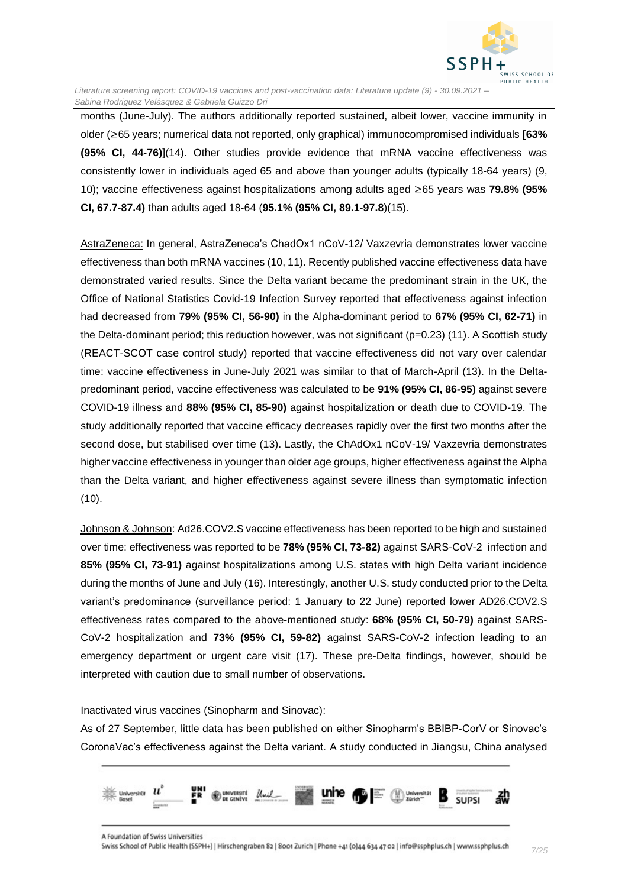

months (June-July). The authors additionally reported sustained, albeit lower, vaccine immunity in older (≥65 years; numerical data not reported, only graphical) immunocompromised individuals **[63% (95% CI, 44-76)**](14). Other studies provide evidence that mRNA vaccine effectiveness was consistently lower in individuals aged 65 and above than younger adults (typically 18-64 years) (9, 10); vaccine effectiveness against hospitalizations among adults aged ≥65 years was **79.8% (95% CI, 67.7-87.4)** than adults aged 18-64 (**95.1% (95% CI, 89.1-97.8**)(15).

AstraZeneca: In general, AstraZeneca's ChadOx1 nCoV-12/ Vaxzevria demonstrates lower vaccine effectiveness than both mRNA vaccines (10, 11). Recently published vaccine effectiveness data have demonstrated varied results. Since the Delta variant became the predominant strain in the UK, the Office of National Statistics Covid-19 Infection Survey reported that effectiveness against infection had decreased from **79% (95% CI, 56-90)** in the Alpha-dominant period to **67% (95% CI, 62-71)** in the Delta-dominant period; this reduction however, was not significant (p=0.23) (11). A Scottish study (REACT-SCOT case control study) reported that vaccine effectiveness did not vary over calendar time: vaccine effectiveness in June-July 2021 was similar to that of March-April (13). In the Deltapredominant period, vaccine effectiveness was calculated to be **91% (95% CI, 86-95)** against severe COVID-19 illness and **88% (95% CI, 85-90)** against hospitalization or death due to COVID-19. The study additionally reported that vaccine efficacy decreases rapidly over the first two months after the second dose, but stabilised over time (13). Lastly, the ChAdOx1 nCoV-19/ Vaxzevria demonstrates higher vaccine effectiveness in younger than older age groups, higher effectiveness against the Alpha than the Delta variant, and higher effectiveness against severe illness than symptomatic infection  $(10).$ 

Johnson & Johnson: Ad26.COV2.S vaccine effectiveness has been reported to be high and sustained over time: effectiveness was reported to be **78% (95% CI, 73-82)** against SARS-CoV-2 infection and **85% (95% CI, 73-91)** against hospitalizations among U.S. states with high Delta variant incidence during the months of June and July (16). Interestingly, another U.S. study conducted prior to the Delta variant's predominance (surveillance period: 1 January to 22 June) reported lower AD26.COV2.S effectiveness rates compared to the above-mentioned study: **68% (95% CI, 50-79)** against SARS-CoV-2 hospitalization and **73% (95% CI, 59-82)** against SARS-CoV-2 infection leading to an emergency department or urgent care visit (17). These pre-Delta findings, however, should be interpreted with caution due to small number of observations.

#### Inactivated virus vaccines (Sinopharm and Sinovac):

As of 27 September, little data has been published on either Sinopharm's BBIBP-CorV or Sinovac's CoronaVac's effectiveness against the Delta variant. A study conducted in Jiangsu, China analysed

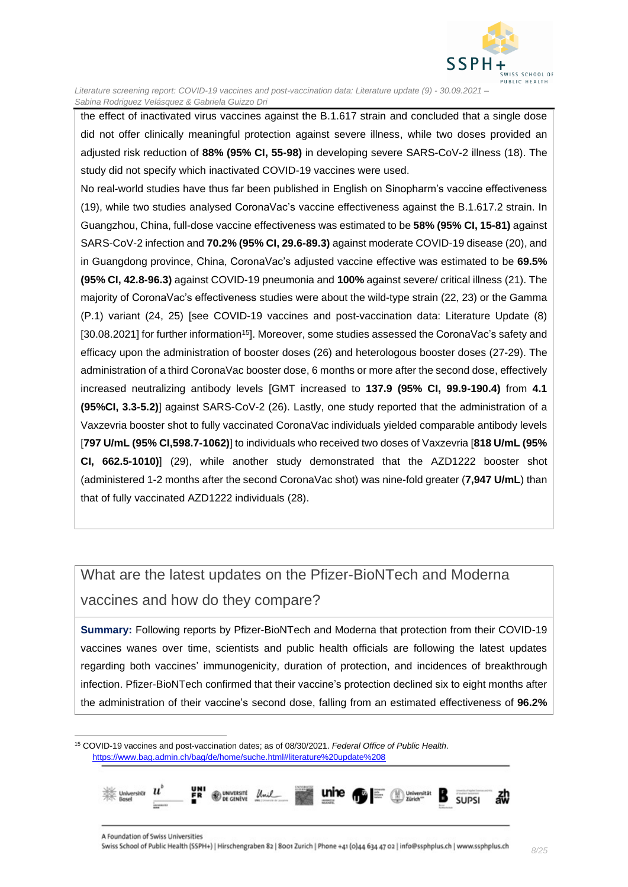

the effect of inactivated virus vaccines against the B.1.617 strain and concluded that a single dose did not offer clinically meaningful protection against severe illness, while two doses provided an adjusted risk reduction of **88% (95% CI, 55-98)** in developing severe SARS-CoV-2 illness (18). The study did not specify which inactivated COVID-19 vaccines were used.

No real-world studies have thus far been published in English on Sinopharm's vaccine effectiveness (19), while two studies analysed CoronaVac's vaccine effectiveness against the B.1.617.2 strain. In Guangzhou, China, full-dose vaccine effectiveness was estimated to be **58% (95% CI, 15-81)** against SARS-CoV-2 infection and **70.2% (95% CI, 29.6-89.3)** against moderate COVID-19 disease (20), and in Guangdong province, China, CoronaVac's adjusted vaccine effective was estimated to be **69.5% (95% CI, 42.8-96.3)** against COVID-19 pneumonia and **100%** against severe/ critical illness (21). The majority of CoronaVac's effectiveness studies were about the wild-type strain (22, 23) or the Gamma (P.1) variant (24, 25) [see COVID-19 vaccines and post-vaccination data: Literature Update (8) [30.08.2021] for further information<sup>15</sup>]. Moreover, some studies assessed the CoronaVac's safety and efficacy upon the administration of booster doses (26) and heterologous booster doses (27-29). The administration of a third CoronaVac booster dose, 6 months or more after the second dose, effectively increased neutralizing antibody levels [GMT increased to **137.9 (95% CI, 99.9-190.4)** from **4.1 (95%CI, 3.3-5.2)**] against SARS-CoV-2 (26). Lastly, one study reported that the administration of a Vaxzevria booster shot to fully vaccinated CoronaVac individuals yielded comparable antibody levels [**797 U/mL (95% CI,598.7-1062)**] to individuals who received two doses of Vaxzevria [**818 U/mL (95% CI, 662.5-1010)**] (29), while another study demonstrated that the AZD1222 booster shot (administered 1-2 months after the second CoronaVac shot) was nine-fold greater (**7,947 U/mL**) than that of fully vaccinated AZD1222 individuals (28).

# <span id="page-7-0"></span>What are the latest updates on the Pfizer-BioNTech and Moderna vaccines and how do they compare?

**Summary:** Following reports by Pfizer-BioNTech and Moderna that protection from their COVID-19 vaccines wanes over time, scientists and public health officials are following the latest updates regarding both vaccines' immunogenicity, duration of protection, and incidences of breakthrough infection. Pfizer-BioNTech confirmed that their vaccine's protection declined six to eight months after the administration of their vaccine's second dose, falling from an estimated effectiveness of **96.2%**

<sup>15</sup> COVID-19 vaccines and post-vaccination dates; as of 08/30/2021. *Federal Office of Public Health*. <https://www.bag.admin.ch/bag/de/home/suche.html#literature%20update%208>

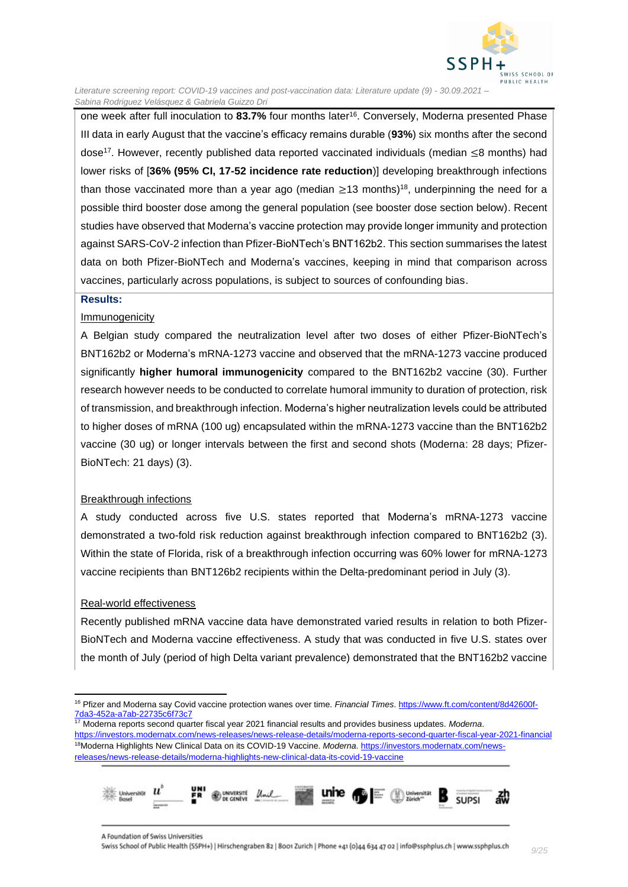

one week after full inoculation to 83.7% four months later<sup>16</sup>. Conversely, Moderna presented Phase III data in early August that the vaccine's efficacy remains durable (**93%**) six months after the second dose<sup>17</sup> . However, recently published data reported vaccinated individuals (median ≤8 months) had lower risks of [**36% (95% CI, 17-52 incidence rate reduction**)] developing breakthrough infections than those vaccinated more than a year ago (median  $\geq$ 13 months)<sup>18</sup>, underpinning the need for a possible third booster dose among the general population (see booster dose section below). Recent studies have observed that Moderna's vaccine protection may provide longer immunity and protection against SARS-CoV-2 infection than Pfizer-BioNTech's BNT162b2. This section summarises the latest data on both Pfizer-BioNTech and Moderna's vaccines, keeping in mind that comparison across vaccines, particularly across populations, is subject to sources of confounding bias.

#### **Results:**

#### Immunogenicity

A Belgian study compared the neutralization level after two doses of either Pfizer-BioNTech's BNT162b2 or Moderna's mRNA-1273 vaccine and observed that the mRNA-1273 vaccine produced significantly **higher humoral immunogenicity** compared to the BNT162b2 vaccine (30). Further research however needs to be conducted to correlate humoral immunity to duration of protection, risk of transmission, and breakthrough infection. Moderna's higher neutralization levels could be attributed to higher doses of mRNA (100 ug) encapsulated within the mRNA-1273 vaccine than the BNT162b2 vaccine (30 ug) or longer intervals between the first and second shots (Moderna: 28 days; Pfizer-BioNTech: 21 days) (3).

#### Breakthrough infections

A study conducted across five U.S. states reported that Moderna's mRNA-1273 vaccine demonstrated a two-fold risk reduction against breakthrough infection compared to BNT162b2 (3). Within the state of Florida, risk of a breakthrough infection occurring was 60% lower for mRNA-1273 vaccine recipients than BNT126b2 recipients within the Delta-predominant period in July (3).

#### Real-world effectiveness

Recently published mRNA vaccine data have demonstrated varied results in relation to both Pfizer-BioNTech and Moderna vaccine effectiveness. A study that was conducted in five U.S. states over the month of July (period of high Delta variant prevalence) demonstrated that the BNT162b2 vaccine

<sup>17</sup> Moderna reports second quarter fiscal year 2021 financial results and provides business updates. *Moderna*. <https://investors.modernatx.com/news-releases/news-release-details/moderna-reports-second-quarter-fiscal-year-2021-financial> 18Moderna Highlights New Clinical Data on its COVID-19 Vaccine. *Moderna*. [https://investors.modernatx.com/news](https://investors.modernatx.com/news-releases/news-release-details/moderna-highlights-new-clinical-data-its-covid-19-vaccine)[releases/news-release-details/moderna-highlights-new-clinical-data-its-covid-19-vaccine](https://investors.modernatx.com/news-releases/news-release-details/moderna-highlights-new-clinical-data-its-covid-19-vaccine)



<sup>16</sup> Pfizer and Moderna say Covid vaccine protection wanes over time. *Financial Times*. [https://www.ft.com/content/8d42600f-](https://www.ft.com/content/8d42600f-7da3-452a-a7ab-22735c6f73c7)[7da3-452a-a7ab-22735c6f73c7](https://www.ft.com/content/8d42600f-7da3-452a-a7ab-22735c6f73c7)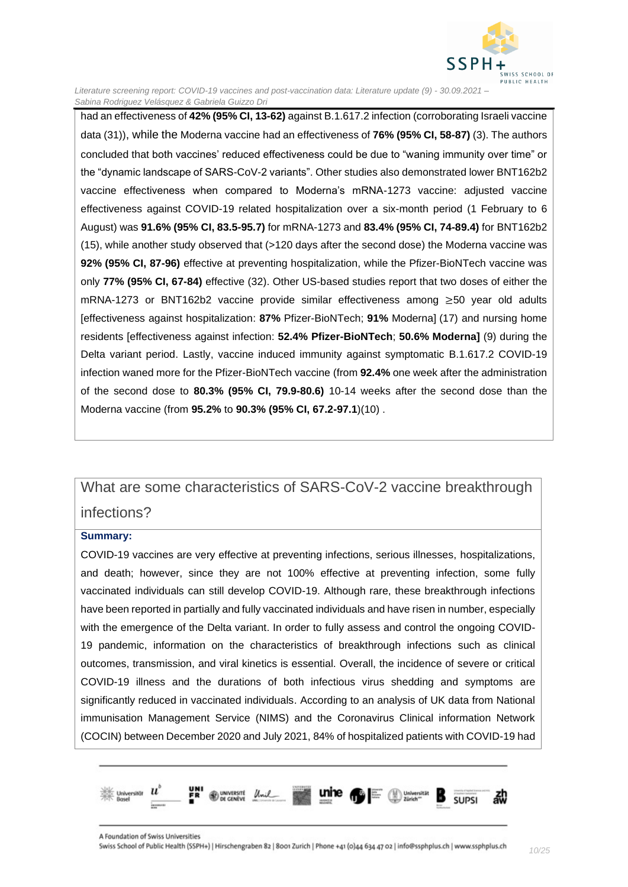

had an effectiveness of **42% (95% CI, 13-62)** against B.1.617.2 infection (corroborating Israeli vaccine data (31)), while the Moderna vaccine had an effectiveness of **76% (95% CI, 58-87)** (3). The authors concluded that both vaccines' reduced effectiveness could be due to "waning immunity over time" or the "dynamic landscape of SARS-CoV-2 variants". Other studies also demonstrated lower BNT162b2 vaccine effectiveness when compared to Moderna's mRNA-1273 vaccine: adjusted vaccine effectiveness against COVID-19 related hospitalization over a six-month period (1 February to 6 August) was **91.6% (95% CI, 83.5-95.7)** for mRNA-1273 and **83.4% (95% CI, 74-89.4)** for BNT162b2 (15), while another study observed that (>120 days after the second dose) the Moderna vaccine was **92% (95% CI, 87-96)** effective at preventing hospitalization, while the Pfizer-BioNTech vaccine was only **77% (95% CI, 67-84)** effective (32). Other US-based studies report that two doses of either the mRNA-1273 or BNT162b2 vaccine provide similar effectiveness among ≥50 year old adults [effectiveness against hospitalization: **87%** Pfizer-BioNTech; **91%** Moderna] (17) and nursing home residents [effectiveness against infection: **52.4% Pfizer-BioNTech**; **50.6% Moderna]** (9) during the Delta variant period. Lastly, vaccine induced immunity against symptomatic B.1.617.2 COVID-19 infection waned more for the Pfizer-BioNTech vaccine (from **92.4%** one week after the administration of the second dose to **80.3% (95% CI, 79.9-80.6)** 10-14 weeks after the second dose than the Moderna vaccine (from **95.2%** to **90.3% (95% CI, 67.2-97.1**)(10) .

## <span id="page-9-0"></span>What are some characteristics of SARS-CoV-2 vaccine breakthrough infections?

#### **Summary:**

COVID-19 vaccines are very effective at preventing infections, serious illnesses, hospitalizations, and death; however, since they are not 100% effective at preventing infection, some fully vaccinated individuals can still develop COVID-19. Although rare, these breakthrough infections have been reported in partially and fully vaccinated individuals and have risen in number, especially with the emergence of the Delta variant. In order to fully assess and control the ongoing COVID-19 pandemic, information on the characteristics of breakthrough infections such as clinical outcomes, transmission, and viral kinetics is essential. Overall, the incidence of severe or critical COVID-19 illness and the durations of both infectious virus shedding and symptoms are significantly reduced in vaccinated individuals. According to an analysis of UK data from National immunisation Management Service (NIMS) and the Coronavirus Clinical information Network (COCIN) between December 2020 and July 2021, 84% of hospitalized patients with COVID-19 had

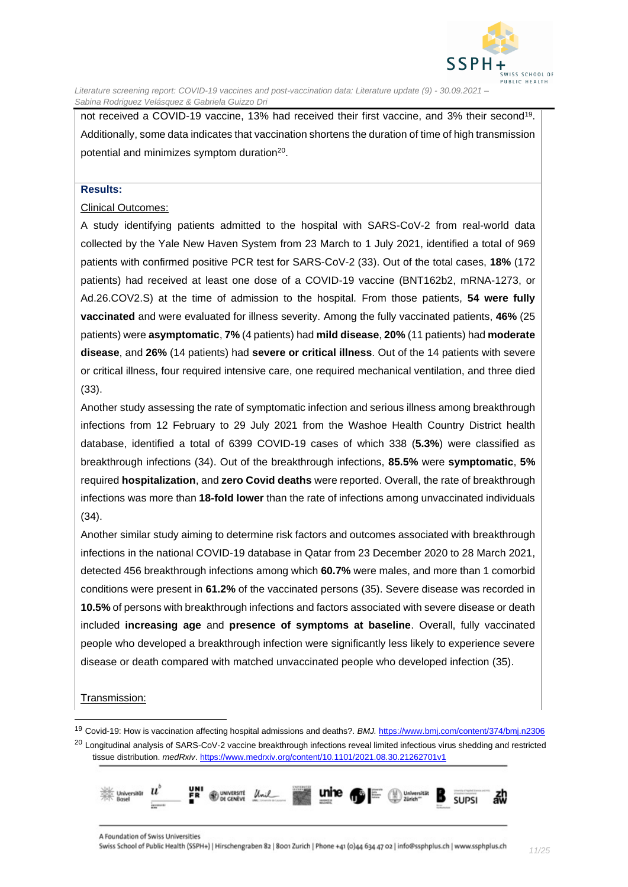

not received a COVID-19 vaccine, 13% had received their first vaccine, and 3% their second<sup>19</sup>. Additionally, some data indicates that vaccination shortens the duration of time of high transmission potential and minimizes symptom duration<sup>20</sup>.

#### **Results:**

#### Clinical Outcomes:

A study identifying patients admitted to the hospital with SARS-CoV-2 from real-world data collected by the Yale New Haven System from 23 March to 1 July 2021, identified a total of 969 patients with confirmed positive PCR test for SARS-CoV-2 (33). Out of the total cases, **18%** (172 patients) had received at least one dose of a COVID-19 vaccine (BNT162b2, mRNA-1273, or Ad.26.COV2.S) at the time of admission to the hospital. From those patients, **54 were fully vaccinated** and were evaluated for illness severity. Among the fully vaccinated patients, **46%** (25 patients) were **asymptomatic**, **7%** (4 patients) had **mild disease**, **20%** (11 patients) had **moderate disease**, and **26%** (14 patients) had **severe or critical illness**. Out of the 14 patients with severe or critical illness, four required intensive care, one required mechanical ventilation, and three died (33).

Another study assessing the rate of symptomatic infection and serious illness among breakthrough infections from 12 February to 29 July 2021 from the Washoe Health Country District health database, identified a total of 6399 COVID-19 cases of which 338 (**5.3%**) were classified as breakthrough infections (34). Out of the breakthrough infections, **85.5%** were **symptomatic**, **5%** required **hospitalization**, and **zero Covid deaths** were reported. Overall, the rate of breakthrough infections was more than **18-fold lower** than the rate of infections among unvaccinated individuals (34).

Another similar study aiming to determine risk factors and outcomes associated with breakthrough infections in the national COVID-19 database in Qatar from 23 December 2020 to 28 March 2021, detected 456 breakthrough infections among which **60.7%** were males, and more than 1 comorbid conditions were present in **61.2%** of the vaccinated persons (35). Severe disease was recorded in **10.5%** of persons with breakthrough infections and factors associated with severe disease or death included **increasing age** and **presence of symptoms at baseline**. Overall, fully vaccinated people who developed a breakthrough infection were significantly less likely to experience severe disease or death compared with matched unvaccinated people who developed infection (35).

#### Transmission:

<sup>&</sup>lt;sup>19</sup> Covid-19: How is vaccination affecting hospital admissions and deaths?. BMJ. <https://www.bmj.com/content/374/bmj.n2306> <sup>20</sup> Longitudinal analysis of SARS-CoV-2 vaccine breakthrough infections reveal limited infectious virus shedding and restricted tissue distribution. *medRxiv*[. https://www.medrxiv.org/content/10.1101/2021.08.30.21262701v1](https://www.medrxiv.org/content/10.1101/2021.08.30.21262701v1)

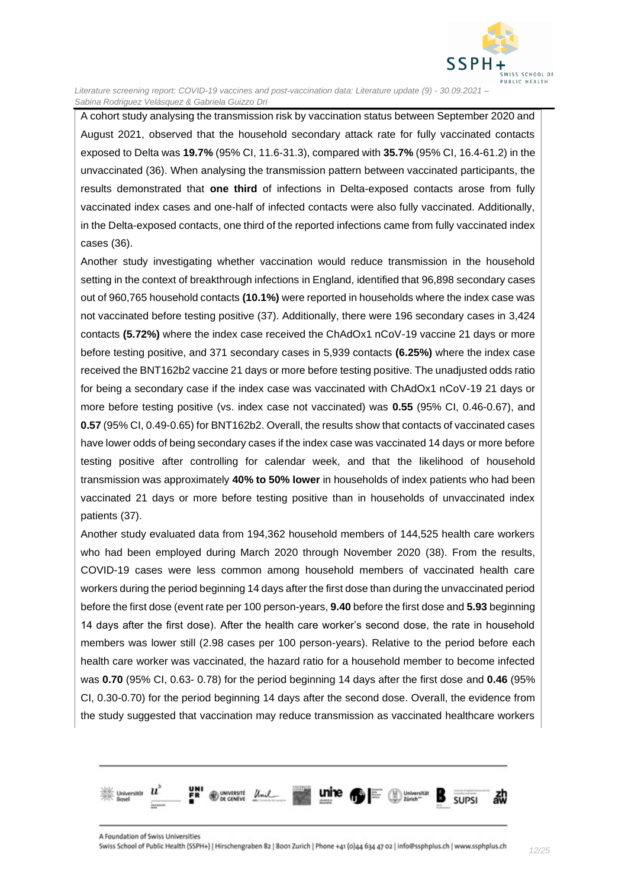

A cohort study analysing the transmission risk by vaccination status between September 2020 and August 2021, observed that the household secondary attack rate for fully vaccinated contacts exposed to Delta was **19.7%** (95% CI, 11.6-31.3), compared with **35.7%** (95% CI, 16.4-61.2) in the unvaccinated (36). When analysing the transmission pattern between vaccinated participants, the results demonstrated that **one third** of infections in Delta-exposed contacts arose from fully vaccinated index cases and one-half of infected contacts were also fully vaccinated. Additionally, in the Delta-exposed contacts, one third of the reported infections came from fully vaccinated index cases (36).

Another study investigating whether vaccination would reduce transmission in the household setting in the context of breakthrough infections in England, identified that 96,898 secondary cases out of 960,765 household contacts **(10.1%)** were reported in households where the index case was not vaccinated before testing positive (37). Additionally, there were 196 secondary cases in 3,424 contacts **(5.72%)** where the index case received the ChAdOx1 nCoV-19 vaccine 21 days or more before testing positive, and 371 secondary cases in 5,939 contacts **(6.25%)** where the index case received the BNT162b2 vaccine 21 days or more before testing positive. The unadjusted odds ratio for being a secondary case if the index case was vaccinated with ChAdOx1 nCoV-19 21 days or more before testing positive (vs. index case not vaccinated) was **0.55** (95% CI, 0.46-0.67), and **0.57** (95% CI, 0.49-0.65) for BNT162b2. Overall, the results show that contacts of vaccinated cases have lower odds of being secondary cases if the index case was vaccinated 14 days or more before testing positive after controlling for calendar week, and that the likelihood of household transmission was approximately **40% to 50% lower** in households of index patients who had been vaccinated 21 days or more before testing positive than in households of unvaccinated index patients (37).

Another study evaluated data from 194,362 household members of 144,525 health care workers who had been employed during March 2020 through November 2020 (38). From the results, COVID-19 cases were less common among household members of vaccinated health care workers during the period beginning 14 days after the first dose than during the unvaccinated period before the first dose (event rate per 100 person-years, **9.40** before the first dose and **5.93** beginning 14 days after the first dose). After the health care worker's second dose, the rate in household members was lower still (2.98 cases per 100 person-years). Relative to the period before each health care worker was vaccinated, the hazard ratio for a household member to become infected was **0.70** (95% CI, 0.63- 0.78) for the period beginning 14 days after the first dose and **0.46** (95% CI, 0.30-0.70) for the period beginning 14 days after the second dose. Overall, the evidence from the study suggested that vaccination may reduce transmission as vaccinated healthcare workers

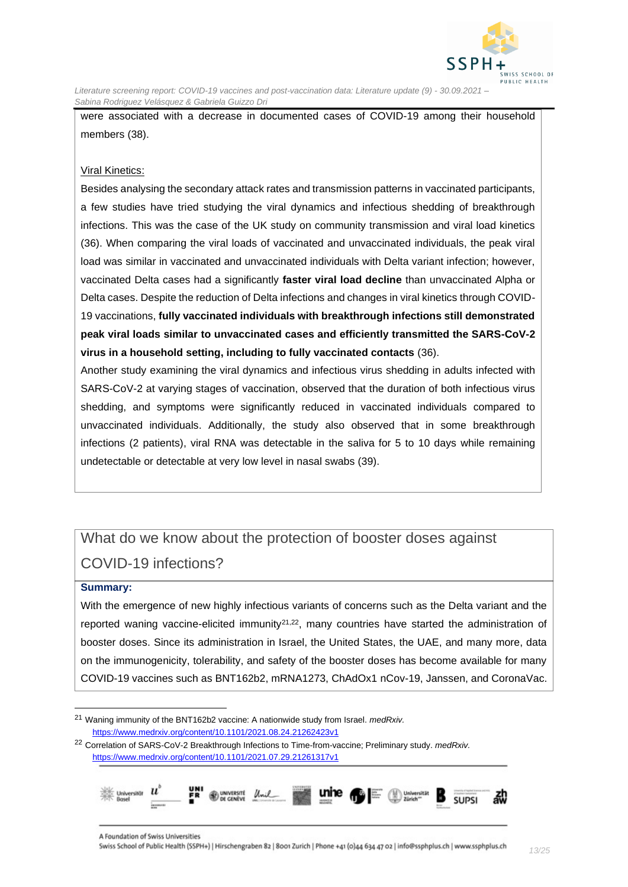

were associated with a decrease in documented cases of COVID-19 among their household members (38).

#### Viral Kinetics:

Besides analysing the secondary attack rates and transmission patterns in vaccinated participants, a few studies have tried studying the viral dynamics and infectious shedding of breakthrough infections. This was the case of the UK study on community transmission and viral load kinetics (36). When comparing the viral loads of vaccinated and unvaccinated individuals, the peak viral load was similar in vaccinated and unvaccinated individuals with Delta variant infection; however, vaccinated Delta cases had a significantly **faster viral load decline** than unvaccinated Alpha or Delta cases. Despite the reduction of Delta infections and changes in viral kinetics through COVID-19 vaccinations, **fully vaccinated individuals with breakthrough infections still demonstrated peak viral loads similar to unvaccinated cases and efficiently transmitted the SARS-CoV-2 virus in a household setting, including to fully vaccinated contacts** (36).

Another study examining the viral dynamics and infectious virus shedding in adults infected with SARS-CoV-2 at varying stages of vaccination, observed that the duration of both infectious virus shedding, and symptoms were significantly reduced in vaccinated individuals compared to unvaccinated individuals. Additionally, the study also observed that in some breakthrough infections (2 patients), viral RNA was detectable in the saliva for 5 to 10 days while remaining undetectable or detectable at very low level in nasal swabs (39).

# <span id="page-12-0"></span>What do we know about the protection of booster doses against COVID-19 infections?

#### **Summary:**

With the emergence of new highly infectious variants of concerns such as the Delta variant and the reported waning vaccine-elicited immunity<sup>21,22</sup>, many countries have started the administration of booster doses. Since its administration in Israel, the United States, the UAE, and many more, data on the immunogenicity, tolerability, and safety of the booster doses has become available for many COVID-19 vaccines such as BNT162b2, mRNA1273, ChAdOx1 nCov-19, Janssen, and CoronaVac.

<sup>22</sup> Correlation of SARS-CoV-2 Breakthrough Infections to Time-from-vaccine; Preliminary study. *medRxiv.* <https://www.medrxiv.org/content/10.1101/2021.07.29.21261317v1>



<sup>21</sup> Waning immunity of the BNT162b2 vaccine: A nationwide study from Israel. *medRxiv.*  <https://www.medrxiv.org/content/10.1101/2021.08.24.21262423v1>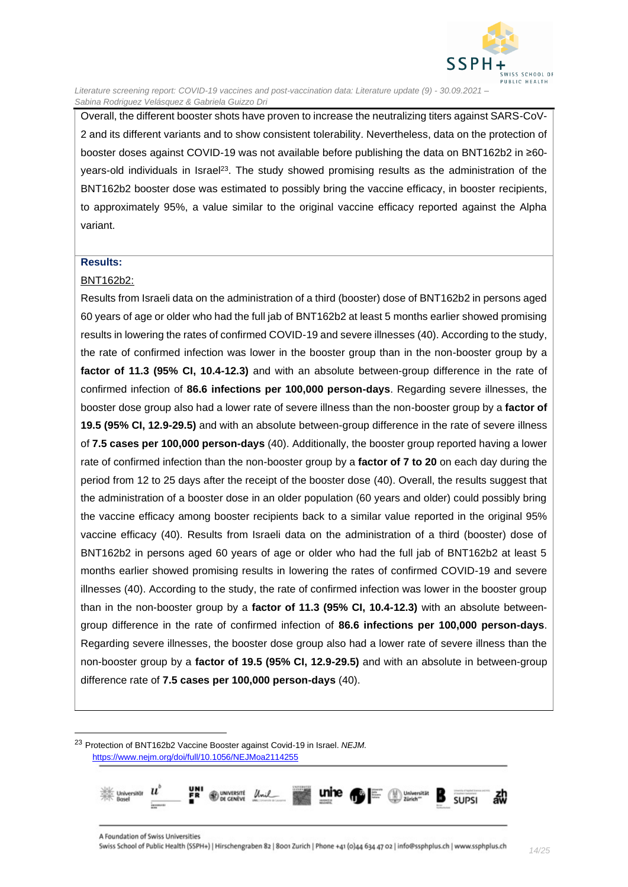

Overall, the different booster shots have proven to increase the neutralizing titers against SARS-CoV-2 and its different variants and to show consistent tolerability. Nevertheless, data on the protection of booster doses against COVID-19 was not available before publishing the data on BNT162b2 in ≥60 years-old individuals in Israel<sup>23</sup>. The study showed promising results as the administration of the BNT162b2 booster dose was estimated to possibly bring the vaccine efficacy, in booster recipients, to approximately 95%, a value similar to the original vaccine efficacy reported against the Alpha variant.

#### **Results:**

#### BNT162b2:

Results from Israeli data on the administration of a third (booster) dose of BNT162b2 in persons aged 60 years of age or older who had the full jab of BNT162b2 at least 5 months earlier showed promising results in lowering the rates of confirmed COVID-19 and severe illnesses (40). According to the study, the rate of confirmed infection was lower in the booster group than in the non-booster group by a **factor of 11.3 (95% CI, 10.4-12.3)** and with an absolute between-group difference in the rate of confirmed infection of **86.6 infections per 100,000 person-days**. Regarding severe illnesses, the booster dose group also had a lower rate of severe illness than the non-booster group by a **factor of 19.5 (95% CI, 12.9-29.5)** and with an absolute between-group difference in the rate of severe illness of **7.5 cases per 100,000 person-days** (40). Additionally, the booster group reported having a lower rate of confirmed infection than the non-booster group by a **factor of 7 to 20** on each day during the period from 12 to 25 days after the receipt of the booster dose (40). Overall, the results suggest that the administration of a booster dose in an older population (60 years and older) could possibly bring the vaccine efficacy among booster recipients back to a similar value reported in the original 95% vaccine efficacy (40). Results from Israeli data on the administration of a third (booster) dose of BNT162b2 in persons aged 60 years of age or older who had the full jab of BNT162b2 at least 5 months earlier showed promising results in lowering the rates of confirmed COVID-19 and severe illnesses (40). According to the study, the rate of confirmed infection was lower in the booster group than in the non-booster group by a **factor of 11.3 (95% CI, 10.4-12.3)** with an absolute betweengroup difference in the rate of confirmed infection of **86.6 infections per 100,000 person-days**. Regarding severe illnesses, the booster dose group also had a lower rate of severe illness than the non-booster group by a **factor of 19.5 (95% CI, 12.9-29.5)** and with an absolute in between-group difference rate of **7.5 cases per 100,000 person-days** (40).

<sup>23</sup> Protection of BNT162b2 Vaccine Booster against Covid-19 in Israel. *NEJM.* <https://www.nejm.org/doi/full/10.1056/NEJMoa2114255>

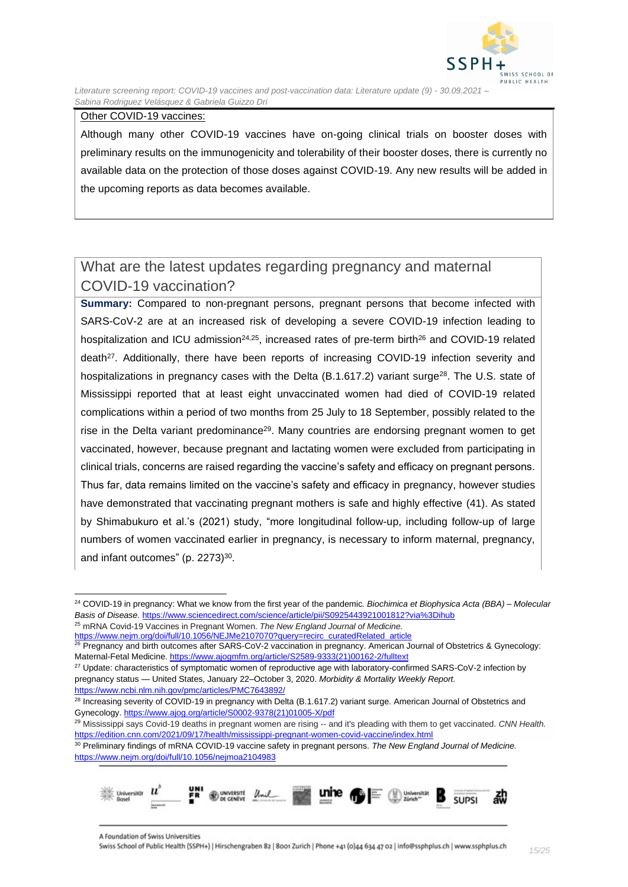

#### Other COVID-19 vaccines:

Although many other COVID-19 vaccines have on-going clinical trials on booster doses with preliminary results on the immunogenicity and tolerability of their booster doses, there is currently no available data on the protection of those doses against COVID-19. Any new results will be added in the upcoming reports as data becomes available.

### What are the latest updates regarding pregnancy and maternal COVID-19 vaccination?

**Summary:** Compared to non-pregnant persons, pregnant persons that become infected with SARS-CoV-2 are at an increased risk of developing a severe COVID-19 infection leading to hospitalization and ICU admission<sup>24,25</sup>, increased rates of pre-term birth<sup>26</sup> and COVID-19 related death<sup>27</sup>. Additionally, there have been reports of increasing COVID-19 infection severity and hospitalizations in pregnancy cases with the Delta (B.1.617.2) variant surge<sup>28</sup>. The U.S. state of Mississippi reported that at least eight unvaccinated women had died of COVID-19 related complications within a period of two months from 25 July to 18 September, possibly related to the rise in the Delta variant predominance<sup>29</sup>. Many countries are endorsing pregnant women to get vaccinated, however, because pregnant and lactating women were excluded from participating in clinical trials, concerns are raised regarding the vaccine's safety and efficacy on pregnant persons. Thus far, data remains limited on the vaccine's safety and efficacy in pregnancy, however studies have demonstrated that vaccinating pregnant mothers is safe and highly effective (41). As stated by Shimabukuro et al.'s (2021) study, "more longitudinal follow-up, including follow-up of large numbers of women vaccinated earlier in pregnancy, is necessary to inform maternal, pregnancy, and infant outcomes" (p. 2273)<sup>30</sup>.

<sup>30</sup> Preliminary findings of mRNA COVID-19 vaccine safety in pregnant persons. *The New England Journal of Medicine.* <https://www.nejm.org/doi/full/10.1056/nejmoa2104983>



<sup>24</sup> COVID-19 in pregnancy: What we know from the first year of the pandemic*. Biochimica et Biophysica Acta (BBA) – Molecular Basis of Disease.* <https://www.sciencedirect.com/science/article/pii/S0925443921001812?via%3Dihub> <sup>25</sup> mRNA Covid-19 Vaccines in Pregnant Women. *The New England Journal of Medicine.*

[https://www.nejm.org/doi/full/10.1056/NEJMe2107070?query=recirc\\_curatedRelated\\_article](https://www.nejm.org/doi/full/10.1056/NEJMe2107070?query=recirc_curatedRelated_article)

<sup>&</sup>lt;sup>26</sup> Pregnancy and birth outcomes after SARS-CoV-2 vaccination in pregnancy. American Journal of Obstetrics & Gynecology: Maternal-Fetal Medicine. [https://www.ajogmfm.org/article/S2589-9333\(21\)00162-2/fulltext](https://www.ajogmfm.org/article/S2589-9333(21)00162-2/fulltext)

<sup>&</sup>lt;sup>27</sup> Update: characteristics of symptomatic women of reproductive age with laboratory-confirmed SARS-CoV-2 infection by pregnancy status — United States, January 22–October 3, 2020. *Morbidity & Mortality Weekly Report.* <https://www.ncbi.nlm.nih.gov/pmc/articles/PMC7643892/>

<sup>&</sup>lt;sup>28</sup> Increasing severity of COVID-19 in pregnancy with Delta (B.1.617.2) variant surge. American Journal of Obstetrics and Gynecology[. https://www.ajog.org/article/S0002-9378\(21\)01005-X/pdf](https://www.ajog.org/article/S0002-9378(21)01005-X/pdf)

<sup>29</sup> Mississippi says Covid-19 deaths in pregnant women are rising -- and it's pleading with them to get vaccinated. *CNN Health.*  <https://edition.cnn.com/2021/09/17/health/mississippi-pregnant-women-covid-vaccine/index.html>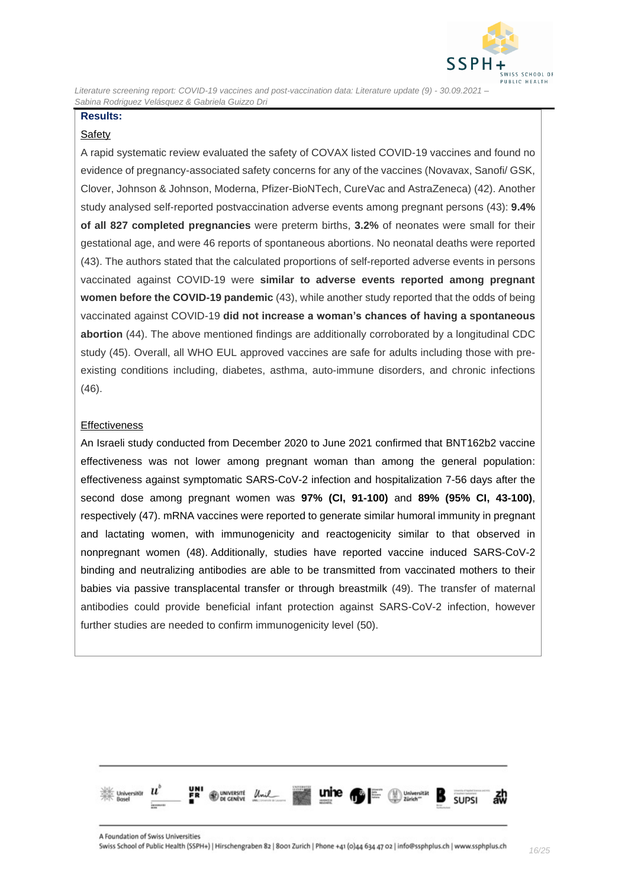

### **Results:**

#### **Safety**

A rapid systematic review evaluated the safety of COVAX listed COVID-19 vaccines and found no evidence of pregnancy-associated safety concerns for any of the vaccines (Novavax, Sanofi/ GSK, Clover, Johnson & Johnson, Moderna, Pfizer-BioNTech, CureVac and AstraZeneca) (42). Another study analysed self-reported postvaccination adverse events among pregnant persons (43): **9.4% of all 827 completed pregnancies** were preterm births, **3.2%** of neonates were small for their gestational age, and were 46 reports of spontaneous abortions. No neonatal deaths were reported (43). The authors stated that the calculated proportions of self-reported adverse events in persons vaccinated against COVID-19 were **similar to adverse events reported among pregnant women before the COVID-19 pandemic** (43), while another study reported that the odds of being vaccinated against COVID-19 **did not increase a woman's chances of having a spontaneous abortion** (44). The above mentioned findings are additionally corroborated by a longitudinal CDC study (45). Overall, all WHO EUL approved vaccines are safe for adults including those with preexisting conditions including, diabetes, asthma, auto-immune disorders, and chronic infections (46).

#### **Effectiveness**

An Israeli study conducted from December 2020 to June 2021 confirmed that BNT162b2 vaccine effectiveness was not lower among pregnant woman than among the general population: effectiveness against symptomatic SARS-CoV-2 infection and hospitalization 7-56 days after the second dose among pregnant women was **97% (CI, 91-100)** and **89% (95% CI, 43-100)**, respectively (47). mRNA vaccines were reported to generate similar humoral immunity in pregnant and lactating women, with immunogenicity and reactogenicity similar to that observed in nonpregnant women (48). Additionally, studies have reported vaccine induced SARS-CoV-2 binding and neutralizing antibodies are able to be transmitted from vaccinated mothers to their babies via passive transplacental transfer or through breastmilk (49). The transfer of maternal antibodies could provide beneficial infant protection against SARS-CoV-2 infection, however further studies are needed to confirm immunogenicity level (50).

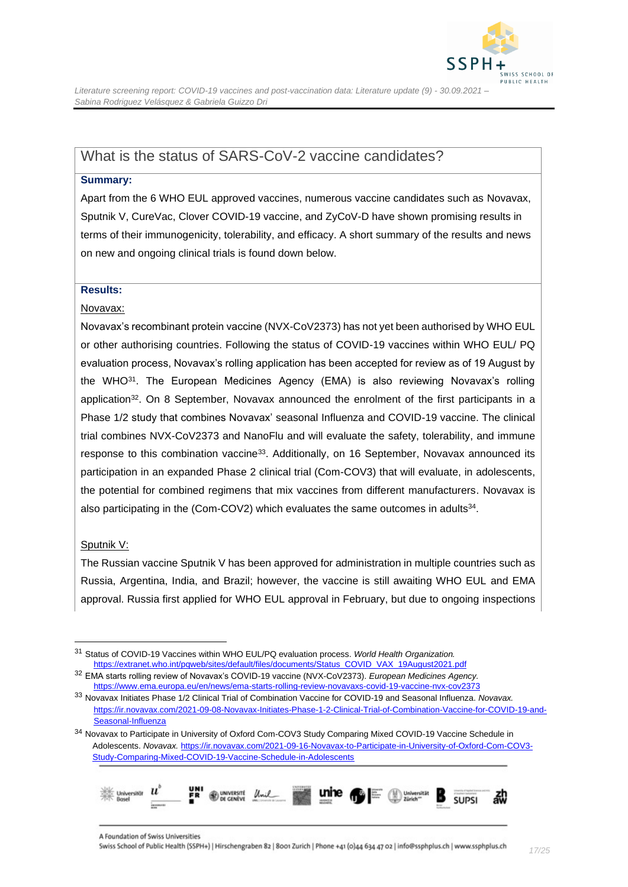

### <span id="page-16-0"></span>What is the status of SARS-CoV-2 vaccine candidates?

#### **Summary:**

Apart from the 6 WHO EUL approved vaccines, numerous vaccine candidates such as Novavax, Sputnik V, CureVac, Clover COVID-19 vaccine, and ZyCoV-D have shown promising results in terms of their immunogenicity, tolerability, and efficacy. A short summary of the results and news on new and ongoing clinical trials is found down below.

#### **Results:**

#### Novavax:

Novavax's recombinant protein vaccine (NVX-CoV2373) has not yet been authorised by WHO EUL or other authorising countries. Following the status of COVID-19 vaccines within WHO EUL/ PQ evaluation process, Novavax's rolling application has been accepted for review as of 19 August by the WHO<sup>31</sup>. The European Medicines Agency (EMA) is also reviewing Novavax's rolling application<sup>32</sup>. On 8 September, Novavax announced the enrolment of the first participants in a Phase 1/2 study that combines Novavax' seasonal Influenza and COVID-19 vaccine. The clinical trial combines NVX-CoV2373 and NanoFlu and will evaluate the safety, tolerability, and immune response to this combination vaccine<sup>33</sup>. Additionally, on 16 September, Novavax announced its participation in an expanded Phase 2 clinical trial (Com-COV3) that will evaluate, in adolescents, the potential for combined regimens that mix vaccines from different manufacturers. Novavax is also participating in the (Com-COV2) which evaluates the same outcomes in adults<sup>34</sup>.

#### Sputnik V:

The Russian vaccine Sputnik V has been approved for administration in multiple countries such as Russia, Argentina, India, and Brazil; however, the vaccine is still awaiting WHO EUL and EMA approval. Russia first applied for WHO EUL approval in February, but due to ongoing inspections

<sup>34</sup> Novavax to Participate in University of Oxford Com-COV3 Study Comparing Mixed COVID-19 Vaccine Schedule in Adolescents. *Novavax.* [https://ir.novavax.com/2021-09-16-Novavax-to-Participate-in-University-of-Oxford-Com-COV3-](https://ir.novavax.com/2021-09-16-Novavax-to-Participate-in-University-of-Oxford-Com-COV3-Study-Comparing-Mixed-COVID-19-Vaccine-Schedule-in-Adolescents) [Study-Comparing-Mixed-COVID-19-Vaccine-Schedule-in-Adolescents](https://ir.novavax.com/2021-09-16-Novavax-to-Participate-in-University-of-Oxford-Com-COV3-Study-Comparing-Mixed-COVID-19-Vaccine-Schedule-in-Adolescents)



<sup>31</sup> Status of COVID-19 Vaccines within WHO EUL/PQ evaluation process. *World Health Organization.* [https://extranet.who.int/pqweb/sites/default/files/documents/Status\\_COVID\\_VAX\\_19August2021.pdf](https://extranet.who.int/pqweb/sites/default/files/documents/Status_COVID_VAX_19August2021.pdf)

<sup>32</sup> EMA starts rolling review of Novavax's COVID-19 vaccine (NVX-CoV2373). *European Medicines Agency.* <https://www.ema.europa.eu/en/news/ema-starts-rolling-review-novavaxs-covid-19-vaccine-nvx-cov2373>

<sup>33</sup> Novavax Initiates Phase 1/2 Clinical Trial of Combination Vaccine for COVID-19 and Seasonal Influenza. *Novavax.* [https://ir.novavax.com/2021-09-08-Novavax-Initiates-Phase-1-2-Clinical-Trial-of-Combination-Vaccine-for-COVID-19-and-](https://ir.novavax.com/2021-09-08-Novavax-Initiates-Phase-1-2-Clinical-Trial-of-Combination-Vaccine-for-COVID-19-and-Seasonal-Influenza)[Seasonal-Influenza](https://ir.novavax.com/2021-09-08-Novavax-Initiates-Phase-1-2-Clinical-Trial-of-Combination-Vaccine-for-COVID-19-and-Seasonal-Influenza)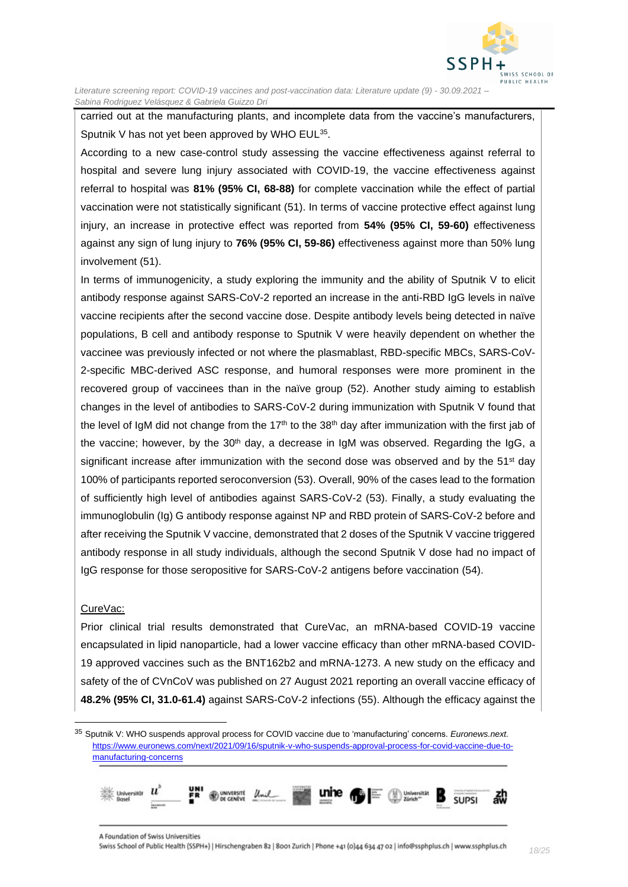

carried out at the manufacturing plants, and incomplete data from the vaccine's manufacturers, Sputnik V has not yet been approved by WHO EUL<sup>35</sup>.

According to a new case-control study assessing the vaccine effectiveness against referral to hospital and severe lung injury associated with COVID-19, the vaccine effectiveness against referral to hospital was **81% (95% CI, 68-88)** for complete vaccination while the effect of partial vaccination were not statistically significant (51). In terms of vaccine protective effect against lung injury, an increase in protective effect was reported from **54% (95% CI, 59-60)** effectiveness against any sign of lung injury to **76% (95% CI, 59-86)** effectiveness against more than 50% lung involvement (51).

In terms of immunogenicity, a study exploring the immunity and the ability of Sputnik V to elicit antibody response against SARS-CoV-2 reported an increase in the anti-RBD IgG levels in naïve vaccine recipients after the second vaccine dose. Despite antibody levels being detected in naïve populations, B cell and antibody response to Sputnik V were heavily dependent on whether the vaccinee was previously infected or not where the plasmablast, RBD-specific MBCs, SARS-CoV-2-specific MBC-derived ASC response, and humoral responses were more prominent in the recovered group of vaccinees than in the naïve group (52). Another study aiming to establish changes in the level of antibodies to SARS-CoV-2 during immunization with Sputnik V found that the level of IgM did not change from the 17<sup>th</sup> to the 38<sup>th</sup> day after immunization with the first jab of the vaccine; however, by the 30<sup>th</sup> day, a decrease in IgM was observed. Regarding the IgG, a significant increase after immunization with the second dose was observed and by the  $51<sup>st</sup>$  day 100% of participants reported seroconversion (53). Overall, 90% of the cases lead to the formation of sufficiently high level of antibodies against SARS-CoV-2 (53). Finally, a study evaluating the immunoglobulin (Ig) G antibody response against NP and RBD protein of SARS-CoV-2 before and after receiving the Sputnik V vaccine, demonstrated that 2 doses of the Sputnik V vaccine triggered antibody response in all study individuals, although the second Sputnik V dose had no impact of IgG response for those seropositive for SARS-CoV-2 antigens before vaccination (54).

#### CureVac:

Prior clinical trial results demonstrated that CureVac, an mRNA-based COVID-19 vaccine encapsulated in lipid nanoparticle, had a lower vaccine efficacy than other mRNA-based COVID-19 approved vaccines such as the BNT162b2 and mRNA-1273. A new study on the efficacy and safety of the of CVnCoV was published on 27 August 2021 reporting an overall vaccine efficacy of **48.2% (95% CI, 31.0-61.4)** against SARS-CoV-2 infections (55). Although the efficacy against the

<sup>35</sup> Sputnik V: WHO suspends approval process for COVID vaccine due to 'manufacturing' concerns. *Euronews.next.* [https://www.euronews.com/next/2021/09/16/sputnik-v-who-suspends-approval-process-for-covid-vaccine-due-to](https://www.euronews.com/next/2021/09/16/sputnik-v-who-suspends-approval-process-for-covid-vaccine-due-to-manufacturing-concerns)[manufacturing-concerns](https://www.euronews.com/next/2021/09/16/sputnik-v-who-suspends-approval-process-for-covid-vaccine-due-to-manufacturing-concerns)

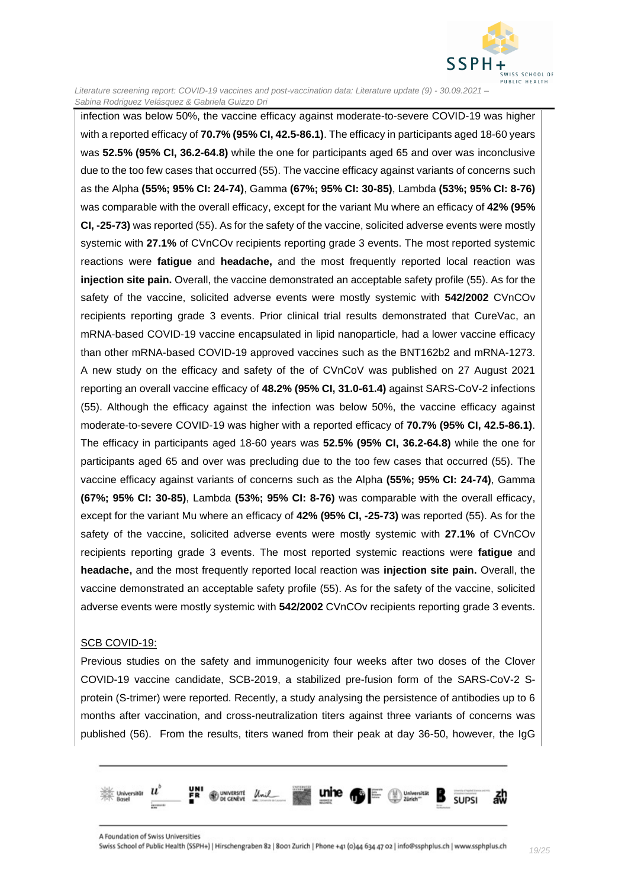

infection was below 50%, the vaccine efficacy against moderate-to-severe COVID-19 was higher with a reported efficacy of **70.7% (95% CI, 42.5-86.1)**. The efficacy in participants aged 18-60 years was **52.5% (95% CI, 36.2-64.8)** while the one for participants aged 65 and over was inconclusive due to the too few cases that occurred (55). The vaccine efficacy against variants of concerns such as the Alpha **(55%; 95% CI: 24-74)**, Gamma **(67%; 95% CI: 30-85)**, Lambda **(53%; 95% CI: 8-76)** was comparable with the overall efficacy, except for the variant Mu where an efficacy of **42% (95% CI, -25-73)** was reported (55). As for the safety of the vaccine, solicited adverse events were mostly systemic with **27.1%** of CVnCOv recipients reporting grade 3 events. The most reported systemic reactions were **fatigue** and **headache,** and the most frequently reported local reaction was **injection site pain.** Overall, the vaccine demonstrated an acceptable safety profile (55). As for the safety of the vaccine, solicited adverse events were mostly systemic with **542/2002** CVnCOv recipients reporting grade 3 events. Prior clinical trial results demonstrated that CureVac, an mRNA-based COVID-19 vaccine encapsulated in lipid nanoparticle, had a lower vaccine efficacy than other mRNA-based COVID-19 approved vaccines such as the BNT162b2 and mRNA-1273. A new study on the efficacy and safety of the of CVnCoV was published on 27 August 2021 reporting an overall vaccine efficacy of **48.2% (95% CI, 31.0-61.4)** against SARS-CoV-2 infections (55). Although the efficacy against the infection was below 50%, the vaccine efficacy against moderate-to-severe COVID-19 was higher with a reported efficacy of **70.7% (95% CI, 42.5-86.1)**. The efficacy in participants aged 18-60 years was **52.5% (95% CI, 36.2-64.8)** while the one for participants aged 65 and over was precluding due to the too few cases that occurred (55). The vaccine efficacy against variants of concerns such as the Alpha **(55%; 95% CI: 24-74)**, Gamma **(67%; 95% CI: 30-85)**, Lambda **(53%; 95% CI: 8-76)** was comparable with the overall efficacy, except for the variant Mu where an efficacy of **42% (95% CI, -25-73)** was reported (55). As for the safety of the vaccine, solicited adverse events were mostly systemic with **27.1%** of CVnCOv recipients reporting grade 3 events. The most reported systemic reactions were **fatigue** and **headache,** and the most frequently reported local reaction was **injection site pain.** Overall, the vaccine demonstrated an acceptable safety profile (55). As for the safety of the vaccine, solicited adverse events were mostly systemic with **542/2002** CVnCOv recipients reporting grade 3 events.

#### SCB COVID-19:

Previous studies on the safety and immunogenicity four weeks after two doses of the Clover COVID-19 vaccine candidate, SCB-2019, a stabilized pre-fusion form of the SARS-CoV-2 Sprotein (S-trimer) were reported. Recently, a study analysing the persistence of antibodies up to 6 months after vaccination, and cross-neutralization titers against three variants of concerns was published (56). From the results, titers waned from their peak at day 36-50, however, the IgG

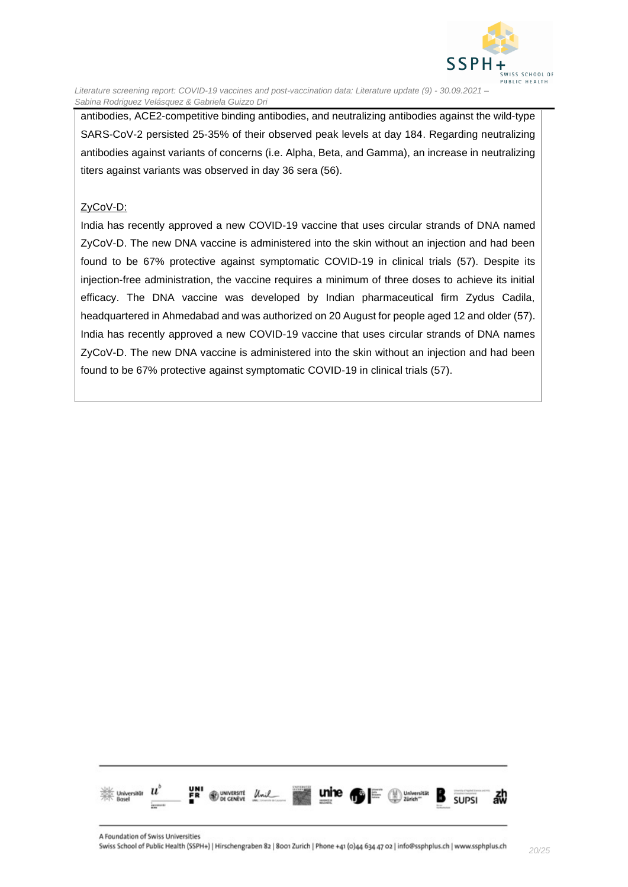

antibodies, ACE2-competitive binding antibodies, and neutralizing antibodies against the wild-type SARS-CoV-2 persisted 25-35% of their observed peak levels at day 184. Regarding neutralizing antibodies against variants of concerns (i.e. Alpha, Beta, and Gamma), an increase in neutralizing titers against variants was observed in day 36 sera (56).

#### ZyCoV-D:

India has recently approved a new COVID-19 vaccine that uses circular strands of DNA named ZyCoV-D. The new DNA vaccine is administered into the skin without an injection and had been found to be 67% protective against symptomatic COVID-19 in clinical trials (57). Despite its injection-free administration, the vaccine requires a minimum of three doses to achieve its initial efficacy. The DNA vaccine was developed by Indian pharmaceutical firm Zydus Cadila, headquartered in Ahmedabad and was authorized on 20 August for people aged 12 and older (57). India has recently approved a new COVID-19 vaccine that uses circular strands of DNA names ZyCoV-D. The new DNA vaccine is administered into the skin without an injection and had been found to be 67% protective against symptomatic COVID-19 in clinical trials (57).

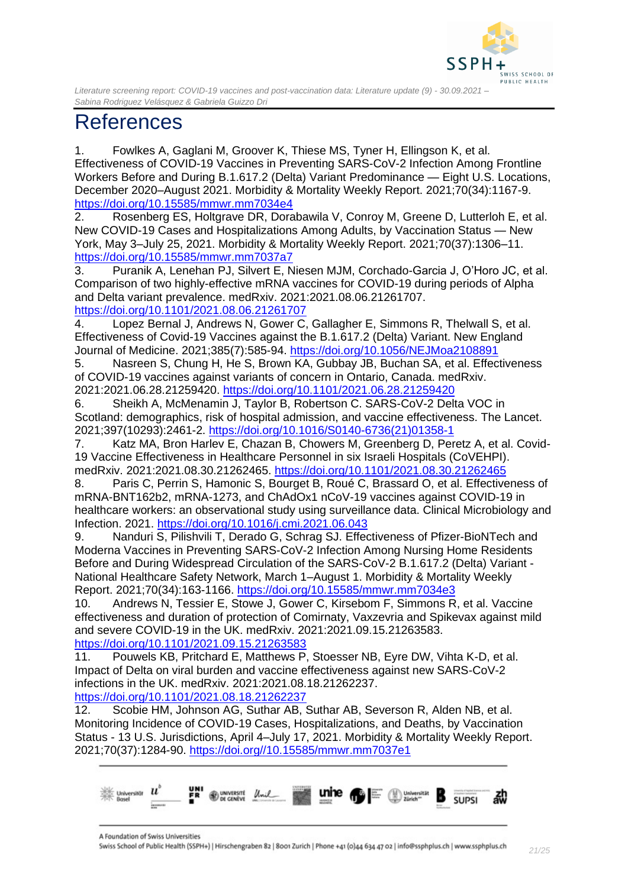

# <span id="page-20-0"></span>References

1. Fowlkes A, Gaglani M, Groover K, Thiese MS, Tyner H, Ellingson K, et al. Effectiveness of COVID-19 Vaccines in Preventing SARS-CoV-2 Infection Among Frontline Workers Before and During B.1.617.2 (Delta) Variant Predominance — Eight U.S. Locations, December 2020–August 2021. Morbidity & Mortality Weekly Report. 2021;70(34):1167-9. <https://doi.org/10.15585/mmwr.mm7034e4>

2. Rosenberg ES, Holtgrave DR, Dorabawila V, Conroy M, Greene D, Lutterloh E, et al. New COVID-19 Cases and Hospitalizations Among Adults, by Vaccination Status — New York, May 3–July 25, 2021. Morbidity & Mortality Weekly Report. 2021;70(37):1306–11. <https://doi.org/10.15585/mmwr.mm7037a7>

3. Puranik A, Lenehan PJ, Silvert E, Niesen MJM, Corchado-Garcia J, O'Horo JC, et al. Comparison of two highly-effective mRNA vaccines for COVID-19 during periods of Alpha and Delta variant prevalence. medRxiv. 2021:2021.08.06.21261707. <https://doi.org/10.1101/2021.08.06.21261707>

4. Lopez Bernal J, Andrews N, Gower C, Gallagher E, Simmons R, Thelwall S, et al. Effectiveness of Covid-19 Vaccines against the B.1.617.2 (Delta) Variant. New England Journal of Medicine. 2021;385(7):585-94.<https://doi.org/10.1056/NEJMoa2108891>

5. Nasreen S, Chung H, He S, Brown KA, Gubbay JB, Buchan SA, et al. Effectiveness of COVID-19 vaccines against variants of concern in Ontario, Canada. medRxiv. 2021:2021.06.28.21259420.<https://doi.org/10.1101/2021.06.28.21259420>

6. Sheikh A, McMenamin J, Taylor B, Robertson C. SARS-CoV-2 Delta VOC in Scotland: demographics, risk of hospital admission, and vaccine effectiveness. The Lancet. 2021;397(10293):2461-2. [https://doi.org/10.1016/S0140-6736\(21\)01358-1](https://doi.org/10.1016/S0140-6736(21)01358-1)

7. Katz MA, Bron Harlev E, Chazan B, Chowers M, Greenberg D, Peretz A, et al. Covid-19 Vaccine Effectiveness in Healthcare Personnel in six Israeli Hospitals (CoVEHPI). medRxiv. 2021:2021.08.30.21262465.<https://doi.org/10.1101/2021.08.30.21262465>

8. Paris C, Perrin S, Hamonic S, Bourget B, Roué C, Brassard O, et al. Effectiveness of mRNA-BNT162b2, mRNA-1273, and ChAdOx1 nCoV-19 vaccines against COVID-19 in healthcare workers: an observational study using surveillance data. Clinical Microbiology and Infection. 2021.<https://doi.org/10.1016/j.cmi.2021.06.043>

9. Nanduri S, Pilishvili T, Derado G, Schrag SJ. Effectiveness of Pfizer-BioNTech and Moderna Vaccines in Preventing SARS-CoV-2 Infection Among Nursing Home Residents Before and During Widespread Circulation of the SARS-CoV-2 B.1.617.2 (Delta) Variant - National Healthcare Safety Network, March 1–August 1. Morbidity & Mortality Weekly Report. 2021;70(34):163-1166.<https://doi.org/10.15585/mmwr.mm7034e3>

10. Andrews N, Tessier E, Stowe J, Gower C, Kirsebom F, Simmons R, et al. Vaccine effectiveness and duration of protection of Comirnaty, Vaxzevria and Spikevax against mild and severe COVID-19 in the UK. medRxiv. 2021:2021.09.15.21263583. <https://doi.org/10.1101/2021.09.15.21263583>

11. Pouwels KB, Pritchard E, Matthews P, Stoesser NB, Eyre DW, Vihta K-D, et al. Impact of Delta on viral burden and vaccine effectiveness against new SARS-CoV-2 infections in the UK. medRxiv. 2021:2021.08.18.21262237.

<https://doi.org/10.1101/2021.08.18.21262237>

12. Scobie HM, Johnson AG, Suthar AB, Suthar AB, Severson R, Alden NB, et al. Monitoring Incidence of COVID-19 Cases, Hospitalizations, and Deaths, by Vaccination Status - 13 U.S. Jurisdictions, April 4–July 17, 2021. Morbidity & Mortality Weekly Report. 2021;70(37):1284-90. [https://doi.org//10.15585/mmwr.mm7037e1](https://doi.org/10.15585/mmwr.mm7037e1)



A Foundation of Swiss Universities Swiss School of Public Health (SSPH+) | Hirschengraben 82 | 8001 Zurich | Phone +41 (0)44 634 47 02 | info@ssphplus.ch | www.ssphplus.ch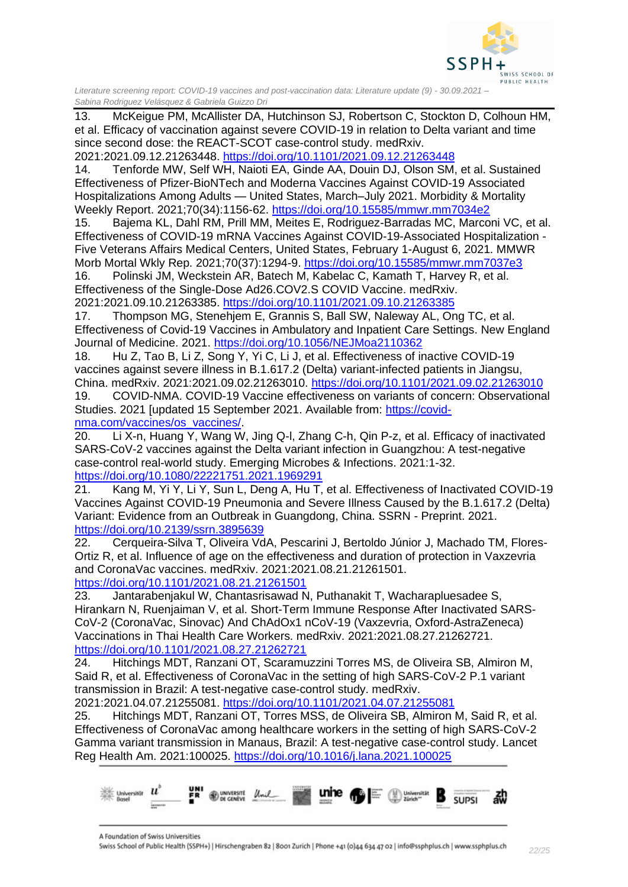

13. McKeigue PM, McAllister DA, Hutchinson SJ, Robertson C, Stockton D, Colhoun HM, et al. Efficacy of vaccination against severe COVID-19 in relation to Delta variant and time since second dose: the REACT-SCOT case-control study. medRxiv.

2021:2021.09.12.21263448.<https://doi.org/10.1101/2021.09.12.21263448>

14. Tenforde MW, Self WH, Naioti EA, Ginde AA, Douin DJ, Olson SM, et al. Sustained Effectiveness of Pfizer-BioNTech and Moderna Vaccines Against COVID-19 Associated Hospitalizations Among Adults — United States, March–July 2021. Morbidity & Mortality Weekly Report. 2021;70(34):1156-62.<https://doi.org/10.15585/mmwr.mm7034e2>

15. Bajema KL, Dahl RM, Prill MM, Meites E, Rodriguez-Barradas MC, Marconi VC, et al. Effectiveness of COVID-19 mRNA Vaccines Against COVID-19-Associated Hospitalization - Five Veterans Affairs Medical Centers, United States, February 1-August 6, 2021. MMWR Morb Mortal Wkly Rep. 2021;70(37):1294-9.<https://doi.org/10.15585/mmwr.mm7037e3>

16. Polinski JM, Weckstein AR, Batech M, Kabelac C, Kamath T, Harvey R, et al. Effectiveness of the Single-Dose Ad26.COV2.S COVID Vaccine. medRxiv.

2021:2021.09.10.21263385.<https://doi.org/10.1101/2021.09.10.21263385>

17. Thompson MG, Stenehjem E, Grannis S, Ball SW, Naleway AL, Ong TC, et al. Effectiveness of Covid-19 Vaccines in Ambulatory and Inpatient Care Settings. New England Journal of Medicine. 2021.<https://doi.org/10.1056/NEJMoa2110362>

18. Hu Z, Tao B, Li Z, Song Y, Yi C, Li J, et al. Effectiveness of inactive COVID-19 vaccines against severe illness in B.1.617.2 (Delta) variant-infected patients in Jiangsu, China. medRxiv. 2021:2021.09.02.21263010.<https://doi.org/10.1101/2021.09.02.21263010>

19. COVID-NMA. COVID-19 Vaccine effectiveness on variants of concern: Observational Studies. 2021 [updated 15 September 2021. Available from: [https://covid](https://covid-nma.com/vaccines/os_vaccines/)[nma.com/vaccines/os\\_vaccines/.](https://covid-nma.com/vaccines/os_vaccines/)

20. Li X-n, Huang Y, Wang W, Jing Q-l, Zhang C-h, Qin P-z, et al. Efficacy of inactivated SARS-CoV-2 vaccines against the Delta variant infection in Guangzhou: A test-negative case-control real-world study. Emerging Microbes & Infections. 2021:1-32. <https://doi.org/10.1080/22221751.2021.1969291>

21. Kang M, Yi Y, Li Y, Sun L, Deng A, Hu T, et al. Effectiveness of Inactivated COVID-19 Vaccines Against COVID-19 Pneumonia and Severe Illness Caused by the B.1.617.2 (Delta) Variant: Evidence from an Outbreak in Guangdong, China. SSRN - Preprint. 2021. <https://doi.org/10.2139/ssrn.3895639>

22. Cerqueira-Silva T, Oliveira VdA, Pescarini J, Bertoldo Júnior J, Machado TM, Flores-Ortiz R, et al. Influence of age on the effectiveness and duration of protection in Vaxzevria and CoronaVac vaccines. medRxiv. 2021:2021.08.21.21261501. <https://doi.org/10.1101/2021.08.21.21261501>

23. Jantarabenjakul W, Chantasrisawad N, Puthanakit T, Wacharapluesadee S, Hirankarn N, Ruenjaiman V, et al. Short-Term Immune Response After Inactivated SARS-CoV-2 (CoronaVac, Sinovac) And ChAdOx1 nCoV-19 (Vaxzevria, Oxford-AstraZeneca) Vaccinations in Thai Health Care Workers. medRxiv. 2021:2021.08.27.21262721. <https://doi.org/10.1101/2021.08.27.21262721>

24. Hitchings MDT, Ranzani OT, Scaramuzzini Torres MS, de Oliveira SB, Almiron M, Said R, et al. Effectiveness of CoronaVac in the setting of high SARS-CoV-2 P.1 variant transmission in Brazil: A test-negative case-control study. medRxiv.

2021:2021.04.07.21255081.<https://doi.org/10.1101/2021.04.07.21255081>

25. Hitchings MDT, Ranzani OT, Torres MSS, de Oliveira SB, Almiron M, Said R, et al. Effectiveness of CoronaVac among healthcare workers in the setting of high SARS-CoV-2 Gamma variant transmission in Manaus, Brazil: A test-negative case-control study. Lancet Reg Health Am. 2021:100025.<https://doi.org/10.1016/j.lana.2021.100025>



A Foundation of Swiss Universities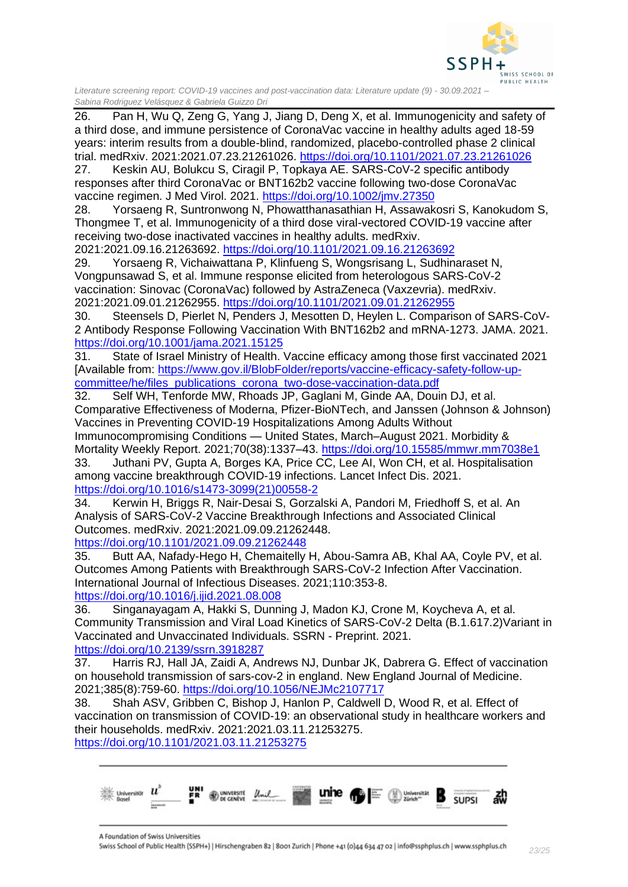

26. Pan H, Wu Q, Zeng G, Yang J, Jiang D, Deng X, et al. Immunogenicity and safety of a third dose, and immune persistence of CoronaVac vaccine in healthy adults aged 18-59 years: interim results from a double-blind, randomized, placebo-controlled phase 2 clinical trial. medRxiv. 2021:2021.07.23.21261026.<https://doi.org/10.1101/2021.07.23.21261026>

27. Keskin AU, Bolukcu S, Ciragil P, Topkaya AE. SARS-CoV-2 specific antibody responses after third CoronaVac or BNT162b2 vaccine following two-dose CoronaVac vaccine regimen. J Med Virol. 2021.<https://doi.org/10.1002/jmv.27350>

28. Yorsaeng R, Suntronwong N, Phowatthanasathian H, Assawakosri S, Kanokudom S, Thongmee T, et al. Immunogenicity of a third dose viral-vectored COVID-19 vaccine after receiving two-dose inactivated vaccines in healthy adults. medRxiv.

2021:2021.09.16.21263692.<https://doi.org/10.1101/2021.09.16.21263692>

29. Yorsaeng R, Vichaiwattana P, Klinfueng S, Wongsrisang L, Sudhinaraset N, Vongpunsawad S, et al. Immune response elicited from heterologous SARS-CoV-2 vaccination: Sinovac (CoronaVac) followed by AstraZeneca (Vaxzevria). medRxiv. 2021:2021.09.01.21262955.<https://doi.org/10.1101/2021.09.01.21262955>

30. Steensels D, Pierlet N, Penders J, Mesotten D, Heylen L. Comparison of SARS-CoV-2 Antibody Response Following Vaccination With BNT162b2 and mRNA-1273. JAMA. 2021. <https://doi.org/10.1001/jama.2021.15125>

31. State of Israel Ministry of Health. Vaccine efficacy among those first vaccinated 2021 [Available from: [https://www.gov.il/BlobFolder/reports/vaccine-efficacy-safety-follow-up](https://www.gov.il/BlobFolder/reports/vaccine-efficacy-safety-follow-up-committee/he/files_publications_corona_two-dose-vaccination-data.pdf)[committee/he/files\\_publications\\_corona\\_two-dose-vaccination-data.pdf](https://www.gov.il/BlobFolder/reports/vaccine-efficacy-safety-follow-up-committee/he/files_publications_corona_two-dose-vaccination-data.pdf)

32. Self WH, Tenforde MW, Rhoads JP, Gaglani M, Ginde AA, Douin DJ, et al. Comparative Effectiveness of Moderna, Pfizer-BioNTech, and Janssen (Johnson & Johnson) Vaccines in Preventing COVID-19 Hospitalizations Among Adults Without Immunocompromising Conditions — United States, March–August 2021. Morbidity &

Mortality Weekly Report. 2021;70(38):1337–43.<https://doi.org/10.15585/mmwr.mm7038e1> 33. Juthani PV, Gupta A, Borges KA, Price CC, Lee AI, Won CH, et al. Hospitalisation

among vaccine breakthrough COVID-19 infections. Lancet Infect Dis. 2021. [https://doi.org/10.1016/s1473-3099\(21\)00558-2](https://doi.org/10.1016/s1473-3099(21)00558-2)

34. Kerwin H, Briggs R, Nair-Desai S, Gorzalski A, Pandori M, Friedhoff S, et al. An Analysis of SARS-CoV-2 Vaccine Breakthrough Infections and Associated Clinical Outcomes. medRxiv. 2021:2021.09.09.21262448. <https://doi.org/10.1101/2021.09.09.21262448>

35. Butt AA, Nafady-Hego H, Chemaitelly H, Abou-Samra AB, Khal AA, Coyle PV, et al. Outcomes Among Patients with Breakthrough SARS-CoV-2 Infection After Vaccination. International Journal of Infectious Diseases. 2021;110:353-8.

<https://doi.org/10.1016/j.ijid.2021.08.008>

36. Singanayagam A, Hakki S, Dunning J, Madon KJ, Crone M, Koycheva A, et al. Community Transmission and Viral Load Kinetics of SARS-CoV-2 Delta (B.1.617.2)Variant in Vaccinated and Unvaccinated Individuals. SSRN - Preprint. 2021. <https://doi.org/10.2139/ssrn.3918287>

37. Harris RJ, Hall JA, Zaidi A, Andrews NJ, Dunbar JK, Dabrera G. Effect of vaccination on household transmission of sars-cov-2 in england. New England Journal of Medicine. 2021;385(8):759-60.<https://doi.org/10.1056/NEJMc2107717>

38. Shah ASV, Gribben C, Bishop J, Hanlon P, Caldwell D, Wood R, et al. Effect of vaccination on transmission of COVID-19: an observational study in healthcare workers and their households. medRxiv. 2021:2021.03.11.21253275.

<https://doi.org/10.1101/2021.03.11.21253275>

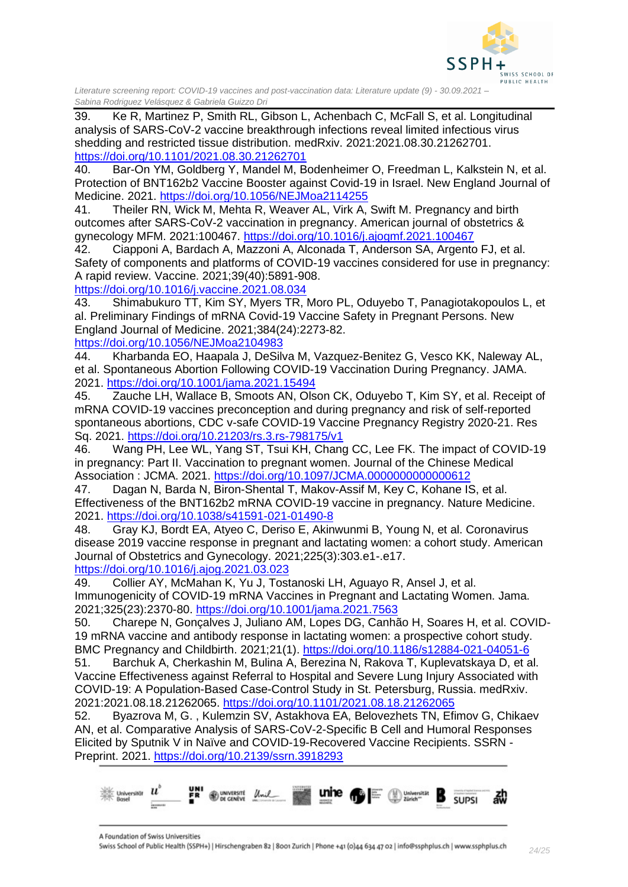

39. Ke R, Martinez P, Smith RL, Gibson L, Achenbach C, McFall S, et al. Longitudinal analysis of SARS-CoV-2 vaccine breakthrough infections reveal limited infectious virus shedding and restricted tissue distribution. medRxiv. 2021:2021.08.30.21262701. <https://doi.org/10.1101/2021.08.30.21262701>

40. Bar-On YM, Goldberg Y, Mandel M, Bodenheimer O, Freedman L, Kalkstein N, et al. Protection of BNT162b2 Vaccine Booster against Covid-19 in Israel. New England Journal of Medicine. 2021.<https://doi.org/10.1056/NEJMoa2114255>

41. Theiler RN, Wick M, Mehta R, Weaver AL, Virk A, Swift M. Pregnancy and birth outcomes after SARS-CoV-2 vaccination in pregnancy. American journal of obstetrics & gynecology MFM. 2021:100467.<https://doi.org/10.1016/j.ajogmf.2021.100467>

42. Ciapponi A, Bardach A, Mazzoni A, Alconada T, Anderson SA, Argento FJ, et al. Safety of components and platforms of COVID-19 vaccines considered for use in pregnancy: A rapid review. Vaccine. 2021;39(40):5891-908.

<https://doi.org/10.1016/j.vaccine.2021.08.034>

43. Shimabukuro TT, Kim SY, Myers TR, Moro PL, Oduyebo T, Panagiotakopoulos L, et al. Preliminary Findings of mRNA Covid-19 Vaccine Safety in Pregnant Persons. New England Journal of Medicine. 2021;384(24):2273-82. <https://doi.org/10.1056/NEJMoa2104983>

44. Kharbanda EO, Haapala J, DeSilva M, Vazquez-Benitez G, Vesco KK, Naleway AL, et al. Spontaneous Abortion Following COVID-19 Vaccination During Pregnancy. JAMA. 2021.<https://doi.org/10.1001/jama.2021.15494>

45. Zauche LH, Wallace B, Smoots AN, Olson CK, Oduyebo T, Kim SY, et al. Receipt of mRNA COVID-19 vaccines preconception and during pregnancy and risk of self-reported spontaneous abortions, CDC v-safe COVID-19 Vaccine Pregnancy Registry 2020-21. Res Sq. 2021.<https://doi.org/10.21203/rs.3.rs-798175/v1>

46. Wang PH, Lee WL, Yang ST, Tsui KH, Chang CC, Lee FK. The impact of COVID-19 in pregnancy: Part II. Vaccination to pregnant women. Journal of the Chinese Medical Association : JCMA. 2021.<https://doi.org/10.1097/JCMA.0000000000000612>

47. Dagan N, Barda N, Biron-Shental T, Makov-Assif M, Key C, Kohane IS, et al. Effectiveness of the BNT162b2 mRNA COVID-19 vaccine in pregnancy. Nature Medicine. 2021.<https://doi.org/10.1038/s41591-021-01490-8>

48. Gray KJ, Bordt EA, Atyeo C, Deriso E, Akinwunmi B, Young N, et al. Coronavirus disease 2019 vaccine response in pregnant and lactating women: a cohort study. American Journal of Obstetrics and Gynecology. 2021;225(3):303.e1-.e17. <https://doi.org/10.1016/j.ajog.2021.03.023>

49. Collier AY, McMahan K, Yu J, Tostanoski LH, Aguayo R, Ansel J, et al. Immunogenicity of COVID-19 mRNA Vaccines in Pregnant and Lactating Women. Jama. 2021;325(23):2370-80.<https://doi.org/10.1001/jama.2021.7563>

50. Charepe N, Gonçalves J, Juliano AM, Lopes DG, Canhão H, Soares H, et al. COVID-19 mRNA vaccine and antibody response in lactating women: a prospective cohort study. BMC Pregnancy and Childbirth. 2021;21(1).<https://doi.org/10.1186/s12884-021-04051-6>

51. Barchuk A, Cherkashin M, Bulina A, Berezina N, Rakova T, Kuplevatskaya D, et al. Vaccine Effectiveness against Referral to Hospital and Severe Lung Injury Associated with COVID-19: A Population-Based Case-Control Study in St. Petersburg, Russia. medRxiv. 2021:2021.08.18.21262065.<https://doi.org/10.1101/2021.08.18.21262065>

52. Byazrova M, G. , Kulemzin SV, Astakhova EA, Belovezhets TN, Efimov G, Chikaev AN, et al. Comparative Analysis of SARS-CoV-2-Specific B Cell and Humoral Responses Elicited by Sputnik V in Naïve and COVID-19-Recovered Vaccine Recipients. SSRN - Preprint. 2021.<https://doi.org/10.2139/ssrn.3918293>



A Foundation of Swiss Universities Swiss School of Public Health (SSPH+) | Hirschengraben 82 | 8001 Zurich | Phone +41 (0)44 634 47 02 | info@ssphplus.ch | www.ssphplus.ch